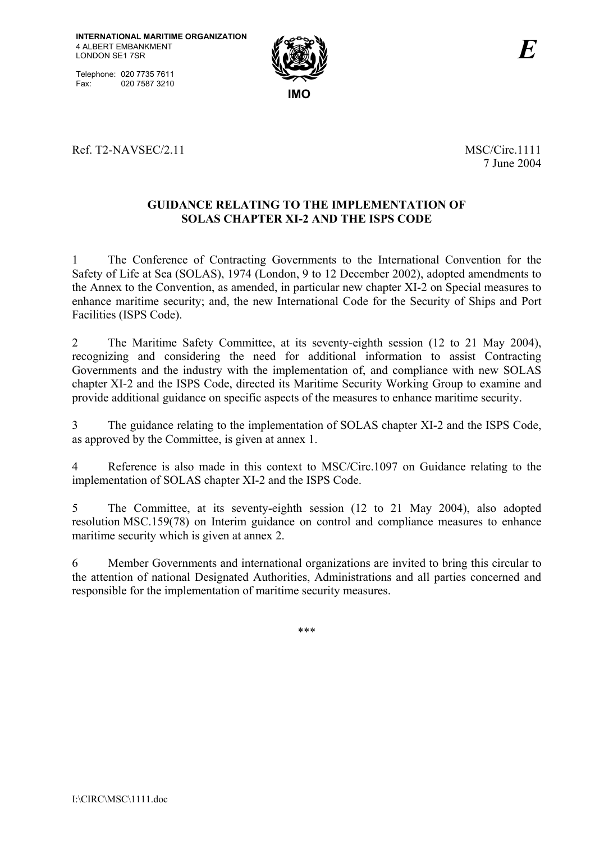Telephone: 020 7735 7611<br>Fax: 020 7587 3210 020 7587 3210



Ref. T2-NAVSEC/2.11 MSC/Circ.1111

7 June 2004

# **GUIDANCE RELATING TO THE IMPLEMENTATION OF SOLAS CHAPTER XI-2 AND THE ISPS CODE**

1 The Conference of Contracting Governments to the International Convention for the Safety of Life at Sea (SOLAS), 1974 (London, 9 to 12 December 2002), adopted amendments to the Annex to the Convention, as amended, in particular new chapter XI-2 on Special measures to enhance maritime security; and, the new International Code for the Security of Ships and Port Facilities (ISPS Code).

2 The Maritime Safety Committee, at its seventy-eighth session (12 to 21 May 2004), recognizing and considering the need for additional information to assist Contracting Governments and the industry with the implementation of, and compliance with new SOLAS chapter XI-2 and the ISPS Code, directed its Maritime Security Working Group to examine and provide additional guidance on specific aspects of the measures to enhance maritime security.

3 The guidance relating to the implementation of SOLAS chapter XI-2 and the ISPS Code, as approved by the Committee, is given at annex 1.

4 Reference is also made in this context to MSC/Circ.1097 on Guidance relating to the implementation of SOLAS chapter XI-2 and the ISPS Code.

5 The Committee, at its seventy-eighth session (12 to 21 May 2004), also adopted resolution MSC.159(78) on Interim guidance on control and compliance measures to enhance maritime security which is given at annex 2.

6 Member Governments and international organizations are invited to bring this circular to the attention of national Designated Authorities, Administrations and all parties concerned and responsible for the implementation of maritime security measures.

\*\*\*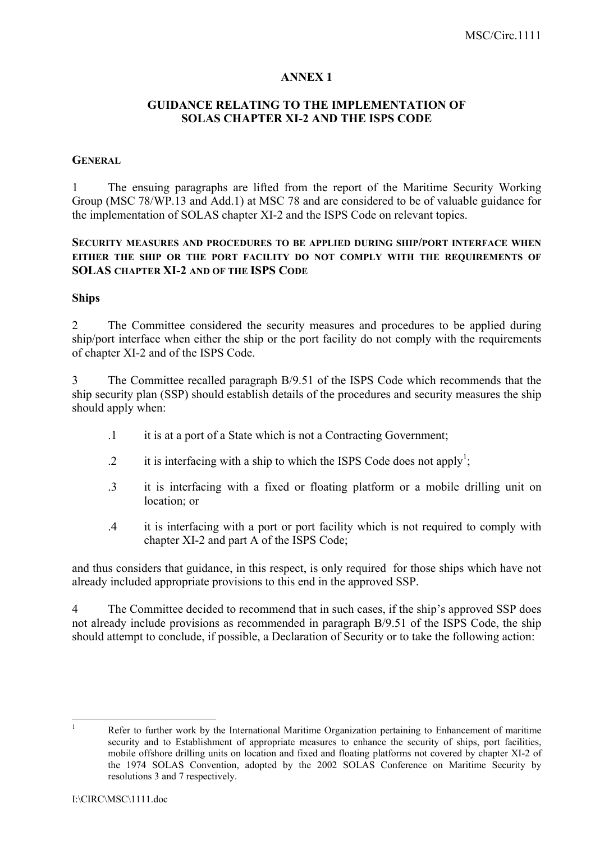## **ANNEX 1**

# **GUIDANCE RELATING TO THE IMPLEMENTATION OF SOLAS CHAPTER XI-2 AND THE ISPS CODE**

#### **GENERAL**

1 The ensuing paragraphs are lifted from the report of the Maritime Security Working Group (MSC 78/WP.13 and Add.1) at MSC 78 and are considered to be of valuable guidance for the implementation of SOLAS chapter XI-2 and the ISPS Code on relevant topics.

## **SECURITY MEASURES AND PROCEDURES TO BE APPLIED DURING SHIP/PORT INTERFACE WHEN EITHER THE SHIP OR THE PORT FACILITY DO NOT COMPLY WITH THE REQUIREMENTS OF SOLAS CHAPTER XI-2 AND OF THE ISPS CODE**

#### **Ships**

2 The Committee considered the security measures and procedures to be applied during ship/port interface when either the ship or the port facility do not comply with the requirements of chapter XI-2 and of the ISPS Code.

3 The Committee recalled paragraph B/9.51 of the ISPS Code which recommends that the ship security plan (SSP) should establish details of the procedures and security measures the ship should apply when:

- .1 it is at a port of a State which is not a Contracting Government;
- $\therefore$  it is interfacing with a ship to which the ISPS Code does not apply<sup>1</sup>;
- .3 it is interfacing with a fixed or floating platform or a mobile drilling unit on location; or
- .4 it is interfacing with a port or port facility which is not required to comply with chapter XI-2 and part A of the ISPS Code;

and thus considers that guidance, in this respect, is only required for those ships which have not already included appropriate provisions to this end in the approved SSP.

4 The Committee decided to recommend that in such cases, if the ship's approved SSP does not already include provisions as recommended in paragraph B/9.51 of the ISPS Code, the ship should attempt to conclude, if possible, a Declaration of Security or to take the following action:

 $\frac{1}{1}$  Refer to further work by the International Maritime Organization pertaining to Enhancement of maritime security and to Establishment of appropriate measures to enhance the security of ships, port facilities, mobile offshore drilling units on location and fixed and floating platforms not covered by chapter XI-2 of the 1974 SOLAS Convention, adopted by the 2002 SOLAS Conference on Maritime Security by resolutions 3 and 7 respectively.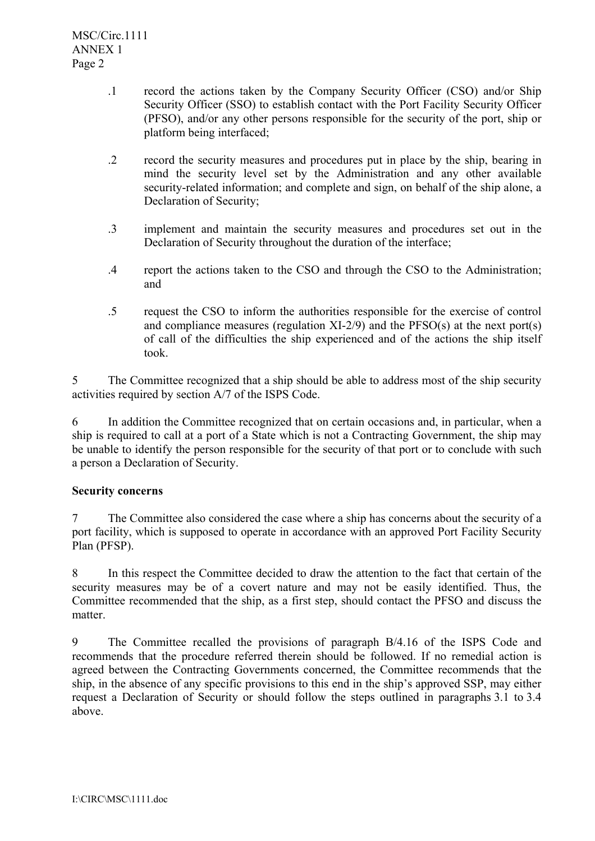- .1 record the actions taken by the Company Security Officer (CSO) and/or Ship Security Officer (SSO) to establish contact with the Port Facility Security Officer (PFSO), and/or any other persons responsible for the security of the port, ship or platform being interfaced;
- .2 record the security measures and procedures put in place by the ship, bearing in mind the security level set by the Administration and any other available security-related information; and complete and sign, on behalf of the ship alone, a Declaration of Security;
- .3 implement and maintain the security measures and procedures set out in the Declaration of Security throughout the duration of the interface;
- .4 report the actions taken to the CSO and through the CSO to the Administration; and
- .5 request the CSO to inform the authorities responsible for the exercise of control and compliance measures (regulation XI-2/9) and the PFSO(s) at the next port(s) of call of the difficulties the ship experienced and of the actions the ship itself took.

5 The Committee recognized that a ship should be able to address most of the ship security activities required by section A/7 of the ISPS Code.

6 In addition the Committee recognized that on certain occasions and, in particular, when a ship is required to call at a port of a State which is not a Contracting Government, the ship may be unable to identify the person responsible for the security of that port or to conclude with such a person a Declaration of Security.

# **Security concerns**

7 The Committee also considered the case where a ship has concerns about the security of a port facility, which is supposed to operate in accordance with an approved Port Facility Security Plan (PFSP).

8 In this respect the Committee decided to draw the attention to the fact that certain of the security measures may be of a covert nature and may not be easily identified. Thus, the Committee recommended that the ship, as a first step, should contact the PFSO and discuss the matter.

9 The Committee recalled the provisions of paragraph B/4.16 of the ISPS Code and recommends that the procedure referred therein should be followed. If no remedial action is agreed between the Contracting Governments concerned, the Committee recommends that the ship, in the absence of any specific provisions to this end in the ship's approved SSP, may either request a Declaration of Security or should follow the steps outlined in paragraphs 3.1 to 3.4 above.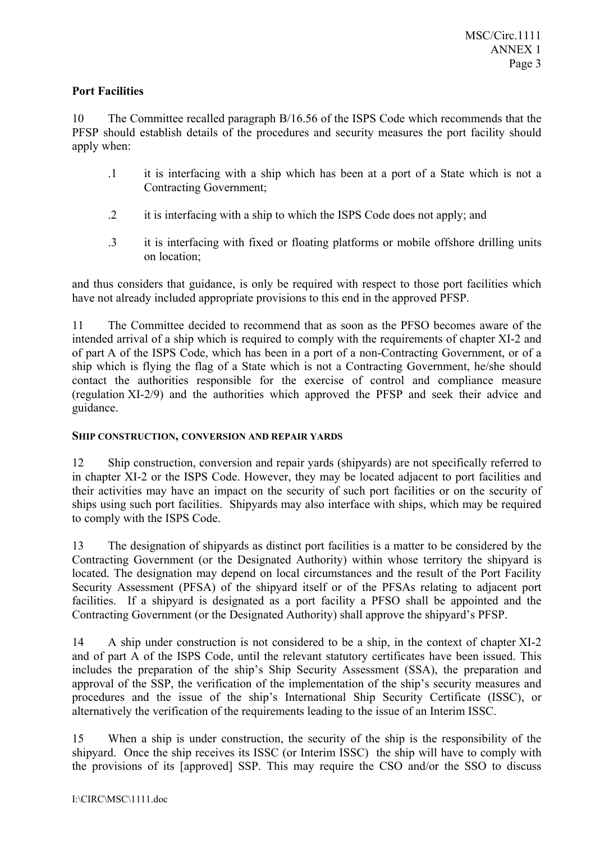# **Port Facilities**

10 The Committee recalled paragraph B/16.56 of the ISPS Code which recommends that the PFSP should establish details of the procedures and security measures the port facility should apply when:

- .1 it is interfacing with a ship which has been at a port of a State which is not a Contracting Government;
- .2 it is interfacing with a ship to which the ISPS Code does not apply; and
- .3 it is interfacing with fixed or floating platforms or mobile offshore drilling units on location;

and thus considers that guidance, is only be required with respect to those port facilities which have not already included appropriate provisions to this end in the approved PFSP.

11 The Committee decided to recommend that as soon as the PFSO becomes aware of the intended arrival of a ship which is required to comply with the requirements of chapter XI-2 and of part A of the ISPS Code, which has been in a port of a non-Contracting Government, or of a ship which is flying the flag of a State which is not a Contracting Government, he/she should contact the authorities responsible for the exercise of control and compliance measure (regulation XI-2/9) and the authorities which approved the PFSP and seek their advice and guidance.

# **SHIP CONSTRUCTION, CONVERSION AND REPAIR YARDS**

12 Ship construction, conversion and repair yards (shipyards) are not specifically referred to in chapter XI-2 or the ISPS Code. However, they may be located adjacent to port facilities and their activities may have an impact on the security of such port facilities or on the security of ships using such port facilities. Shipyards may also interface with ships, which may be required to comply with the ISPS Code.

13 The designation of shipyards as distinct port facilities is a matter to be considered by the Contracting Government (or the Designated Authority) within whose territory the shipyard is located. The designation may depend on local circumstances and the result of the Port Facility Security Assessment (PFSA) of the shipyard itself or of the PFSAs relating to adjacent port facilities. If a shipyard is designated as a port facility a PFSO shall be appointed and the Contracting Government (or the Designated Authority) shall approve the shipyard's PFSP.

14 A ship under construction is not considered to be a ship, in the context of chapter XI-2 and of part A of the ISPS Code, until the relevant statutory certificates have been issued. This includes the preparation of the ship's Ship Security Assessment (SSA), the preparation and approval of the SSP, the verification of the implementation of the ship's security measures and procedures and the issue of the ship's International Ship Security Certificate (ISSC), or alternatively the verification of the requirements leading to the issue of an Interim ISSC.

15 When a ship is under construction, the security of the ship is the responsibility of the shipyard. Once the ship receives its ISSC (or Interim ISSC) the ship will have to comply with the provisions of its [approved] SSP. This may require the CSO and/or the SSO to discuss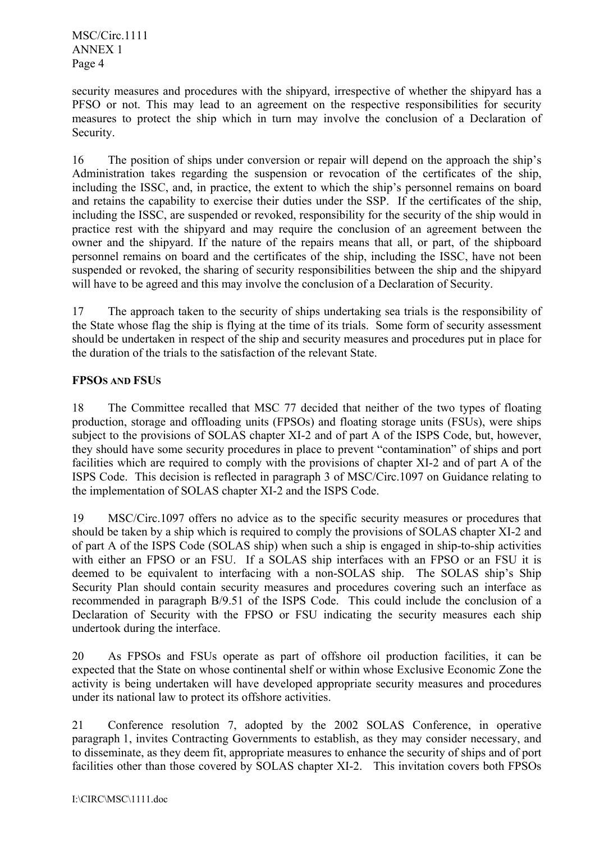MSC/Circ.1111 ANNEX 1 Page 4

security measures and procedures with the shipyard, irrespective of whether the shipyard has a PFSO or not. This may lead to an agreement on the respective responsibilities for security measures to protect the ship which in turn may involve the conclusion of a Declaration of Security.

16 The position of ships under conversion or repair will depend on the approach the ship's Administration takes regarding the suspension or revocation of the certificates of the ship, including the ISSC, and, in practice, the extent to which the ship's personnel remains on board and retains the capability to exercise their duties under the SSP. If the certificates of the ship, including the ISSC, are suspended or revoked, responsibility for the security of the ship would in practice rest with the shipyard and may require the conclusion of an agreement between the owner and the shipyard. If the nature of the repairs means that all, or part, of the shipboard personnel remains on board and the certificates of the ship, including the ISSC, have not been suspended or revoked, the sharing of security responsibilities between the ship and the shipyard will have to be agreed and this may involve the conclusion of a Declaration of Security.

17 The approach taken to the security of ships undertaking sea trials is the responsibility of the State whose flag the ship is flying at the time of its trials. Some form of security assessment should be undertaken in respect of the ship and security measures and procedures put in place for the duration of the trials to the satisfaction of the relevant State.

# **FPSOS AND FSUS**

18 The Committee recalled that MSC 77 decided that neither of the two types of floating production, storage and offloading units (FPSOs) and floating storage units (FSUs), were ships subject to the provisions of SOLAS chapter XI-2 and of part A of the ISPS Code, but, however, they should have some security procedures in place to prevent "contamination" of ships and port facilities which are required to comply with the provisions of chapter XI-2 and of part A of the ISPS Code. This decision is reflected in paragraph 3 of MSC/Circ.1097 on Guidance relating to the implementation of SOLAS chapter XI-2 and the ISPS Code.

19 MSC/Circ.1097 offers no advice as to the specific security measures or procedures that should be taken by a ship which is required to comply the provisions of SOLAS chapter XI-2 and of part A of the ISPS Code (SOLAS ship) when such a ship is engaged in ship-to-ship activities with either an FPSO or an FSU. If a SOLAS ship interfaces with an FPSO or an FSU it is deemed to be equivalent to interfacing with a non-SOLAS ship. The SOLAS ship's Ship Security Plan should contain security measures and procedures covering such an interface as recommended in paragraph B/9.51 of the ISPS Code. This could include the conclusion of a Declaration of Security with the FPSO or FSU indicating the security measures each ship undertook during the interface.

20 As FPSOs and FSUs operate as part of offshore oil production facilities, it can be expected that the State on whose continental shelf or within whose Exclusive Economic Zone the activity is being undertaken will have developed appropriate security measures and procedures under its national law to protect its offshore activities.

21 Conference resolution 7, adopted by the 2002 SOLAS Conference, in operative paragraph 1, invites Contracting Governments to establish, as they may consider necessary, and to disseminate, as they deem fit, appropriate measures to enhance the security of ships and of port facilities other than those covered by SOLAS chapter XI-2. This invitation covers both FPSOs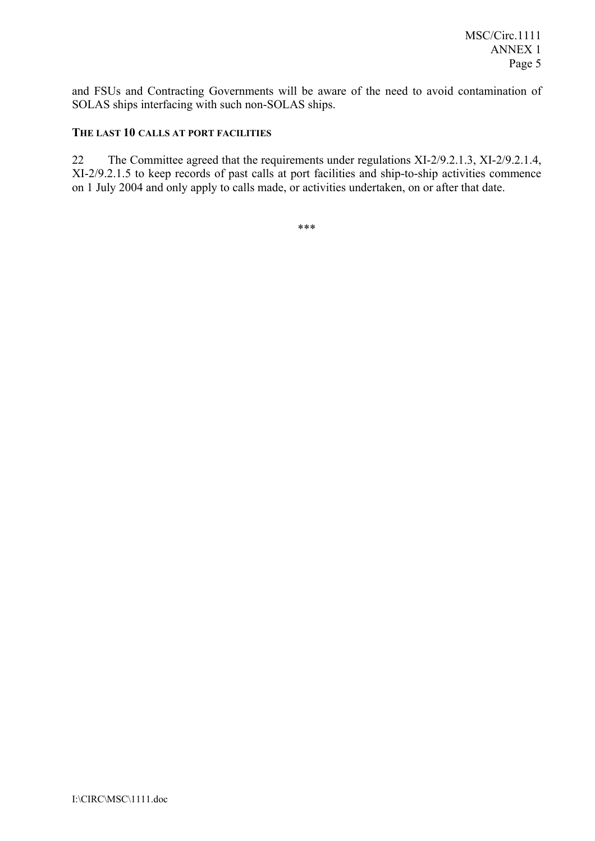and FSUs and Contracting Governments will be aware of the need to avoid contamination of SOLAS ships interfacing with such non-SOLAS ships.

# **THE LAST 10 CALLS AT PORT FACILITIES**

22 The Committee agreed that the requirements under regulations XI-2/9.2.1.3, XI-2/9.2.1.4, XI-2/9.2.1.5 to keep records of past calls at port facilities and ship-to-ship activities commence on 1 July 2004 and only apply to calls made, or activities undertaken, on or after that date.

\*\*\*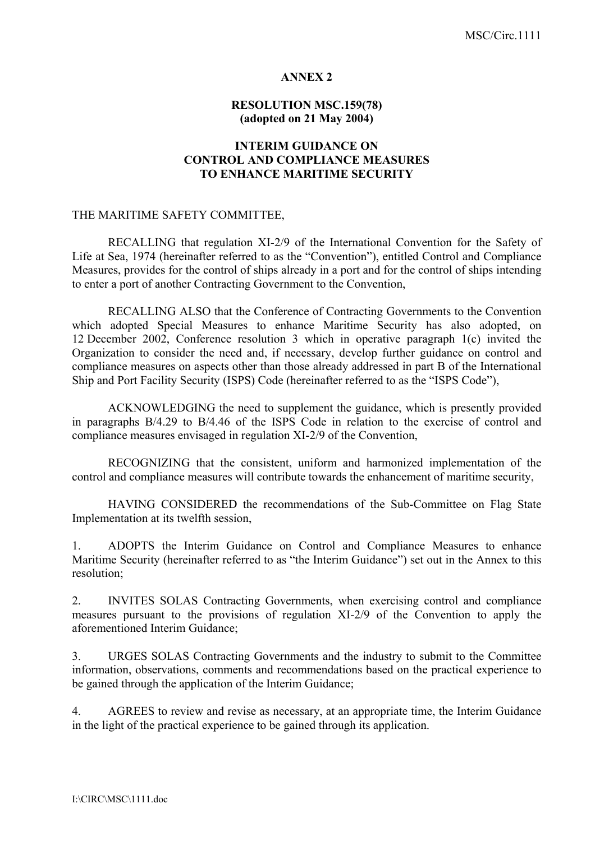#### **ANNEX 2**

# **RESOLUTION MSC.159(78) (adopted on 21 May 2004)**

## **INTERIM GUIDANCE ON CONTROL AND COMPLIANCE MEASURES TO ENHANCE MARITIME SECURITY**

#### THE MARITIME SAFETY COMMITTEE,

RECALLING that regulation XI-2/9 of the International Convention for the Safety of Life at Sea, 1974 (hereinafter referred to as the "Convention"), entitled Control and Compliance Measures, provides for the control of ships already in a port and for the control of ships intending to enter a port of another Contracting Government to the Convention,

 RECALLING ALSO that the Conference of Contracting Governments to the Convention which adopted Special Measures to enhance Maritime Security has also adopted, on 12 December 2002, Conference resolution 3 which in operative paragraph 1(c) invited the Organization to consider the need and, if necessary, develop further guidance on control and compliance measures on aspects other than those already addressed in part B of the International Ship and Port Facility Security (ISPS) Code (hereinafter referred to as the "ISPS Code").

 ACKNOWLEDGING the need to supplement the guidance, which is presently provided in paragraphs B/4.29 to B/4.46 of the ISPS Code in relation to the exercise of control and compliance measures envisaged in regulation XI-2/9 of the Convention,

RECOGNIZING that the consistent, uniform and harmonized implementation of the control and compliance measures will contribute towards the enhancement of maritime security,

HAVING CONSIDERED the recommendations of the Sub-Committee on Flag State Implementation at its twelfth session,

1. ADOPTS the Interim Guidance on Control and Compliance Measures to enhance Maritime Security (hereinafter referred to as "the Interim Guidance") set out in the Annex to this resolution;

2. INVITES SOLAS Contracting Governments, when exercising control and compliance measures pursuant to the provisions of regulation XI-2/9 of the Convention to apply the aforementioned Interim Guidance;

3. URGES SOLAS Contracting Governments and the industry to submit to the Committee information, observations, comments and recommendations based on the practical experience to be gained through the application of the Interim Guidance;

4. AGREES to review and revise as necessary, at an appropriate time, the Interim Guidance in the light of the practical experience to be gained through its application.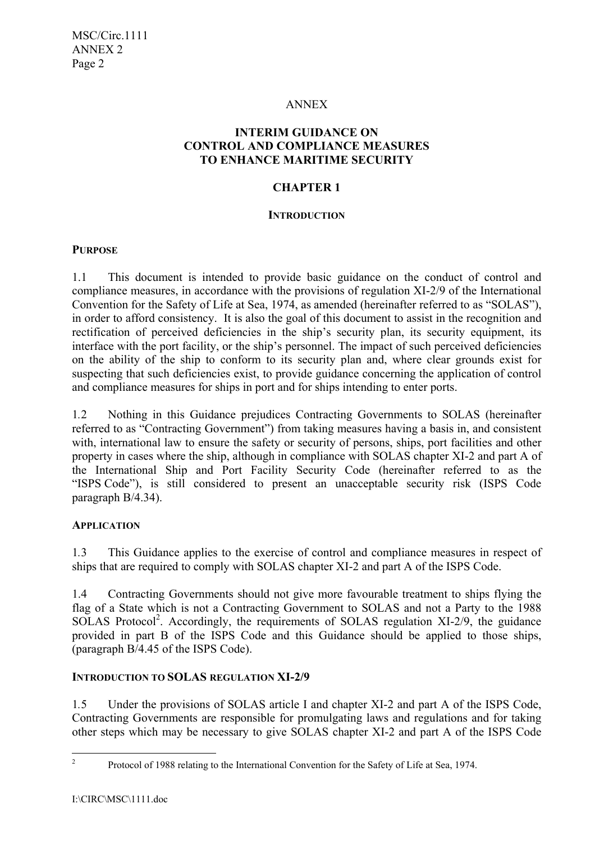## ANNEX

# **INTERIM GUIDANCE ON CONTROL AND COMPLIANCE MEASURES TO ENHANCE MARITIME SECURITY**

# **CHAPTER 1**

## **INTRODUCTION**

# **PURPOSE**

1.1 This document is intended to provide basic guidance on the conduct of control and compliance measures, in accordance with the provisions of regulation XI-2/9 of the International Convention for the Safety of Life at Sea, 1974, as amended (hereinafter referred to as "SOLAS"), in order to afford consistency. It is also the goal of this document to assist in the recognition and rectification of perceived deficiencies in the ship's security plan, its security equipment, its interface with the port facility, or the ship's personnel. The impact of such perceived deficiencies on the ability of the ship to conform to its security plan and, where clear grounds exist for suspecting that such deficiencies exist, to provide guidance concerning the application of control and compliance measures for ships in port and for ships intending to enter ports.

1*.*2 Nothing in this Guidance prejudices Contracting Governments to SOLAS (hereinafter referred to as "Contracting Government") from taking measures having a basis in, and consistent with, international law to ensure the safety or security of persons, ships, port facilities and other property in cases where the ship, although in compliance with SOLAS chapter XI-2 and part A of the International Ship and Port Facility Security Code (hereinafter referred to as the "ISPS Code"), is still considered to present an unacceptable security risk (ISPS Code paragraph B/4.34).

# **APPLICATION**

1*.*3 This Guidance applies to the exercise of control and compliance measures in respect of ships that are required to comply with SOLAS chapter XI-2 and part A of the ISPS Code.

1.4 Contracting Governments should not give more favourable treatment to ships flying the flag of a State which is not a Contracting Government to SOLAS and not a Party to the 1988 SOLAS Protocol<sup>2</sup>. Accordingly, the requirements of SOLAS regulation XI-2/9, the guidance provided in part B of the ISPS Code and this Guidance should be applied to those ships, (paragraph B/4.45 of the ISPS Code).

# **INTRODUCTION TO SOLAS REGULATION XI-2/9**

1*.*5 Under the provisions of SOLAS article I and chapter XI-2 and part A of the ISPS Code, Contracting Governments are responsible for promulgating laws and regulations and for taking other steps which may be necessary to give SOLAS chapter XI-2 and part A of the ISPS Code

 $\frac{1}{2}$ 

Protocol of 1988 relating to the International Convention for the Safety of Life at Sea, 1974.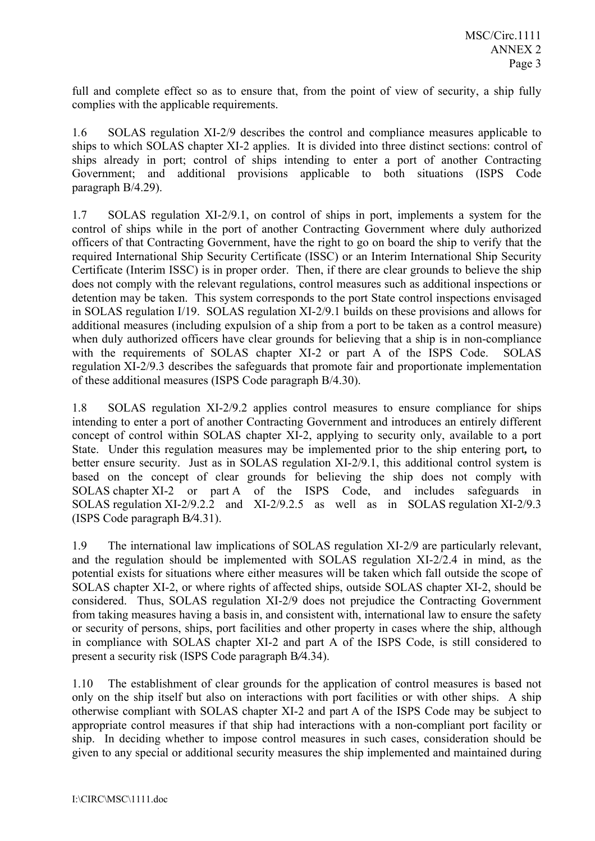full and complete effect so as to ensure that, from the point of view of security, a ship fully complies with the applicable requirements.

1*.*6 SOLAS regulation XI-2/9 describes the control and compliance measures applicable to ships to which SOLAS chapter XI-2 applies. It is divided into three distinct sections: control of ships already in port; control of ships intending to enter a port of another Contracting Government; and additional provisions applicable to both situations (ISPS Code paragraph B/4.29).

1.7 SOLAS regulation XI-2/9.1, on control of ships in port, implements a system for the control of ships while in the port of another Contracting Government where duly authorized officers of that Contracting Government, have the right to go on board the ship to verify that the required International Ship Security Certificate (ISSC) or an Interim International Ship Security Certificate (Interim ISSC) is in proper order. Then, if there are clear grounds to believe the ship does not comply with the relevant regulations, control measures such as additional inspections or detention may be taken. This system corresponds to the port State control inspections envisaged in SOLAS regulation I/19. SOLAS regulation XI-2/9.1 builds on these provisions and allows for additional measures (including expulsion of a ship from a port to be taken as a control measure) when duly authorized officers have clear grounds for believing that a ship is in non-compliance with the requirements of SOLAS chapter XI-2 or part A of the ISPS Code. SOLAS regulation XI-2/9.3 describes the safeguards that promote fair and proportionate implementation of these additional measures (ISPS Code paragraph B/4.30).

1.8 SOLAS regulation XI-2/9.2 applies control measures to ensure compliance for ships intending to enter a port of another Contracting Government and introduces an entirely different concept of control within SOLAS chapter XI-2, applying to security only, available to a port State. Under this regulation measures may be implemented prior to the ship entering port*,* to better ensure security. Just as in SOLAS regulation XI-2/9.1, this additional control system is based on the concept of clear grounds for believing the ship does not comply with SOLAS chapter XI-2 or part A of the ISPS Code, and includes safeguards SOLAS regulation XI-2/9.2.2 and XI-2/9.2.5 as well as in SOLAS regulation XI-2/9.3 (ISPS Code paragraph B*/*4.31).

1.9 The international law implications of SOLAS regulation XI-2/9 are particularly relevant, and the regulation should be implemented with SOLAS regulation XI-2/2.4 in mind, as the potential exists for situations where either measures will be taken which fall outside the scope of SOLAS chapter XI-2, or where rights of affected ships, outside SOLAS chapter XI-2, should be considered. Thus, SOLAS regulation XI-2/9 does not prejudice the Contracting Government from taking measures having a basis in, and consistent with, international law to ensure the safety or security of persons, ships, port facilities and other property in cases where the ship, although in compliance with SOLAS chapter XI-2 and part A of the ISPS Code, is still considered to present a security risk (ISPS Code paragraph B*/*4.34).

1.10 The establishment of clear grounds for the application of control measures is based not only on the ship itself but also on interactions with port facilities or with other ships. A ship otherwise compliant with SOLAS chapter XI-2 and part A of the ISPS Code may be subject to appropriate control measures if that ship had interactions with a non-compliant port facility or ship. In deciding whether to impose control measures in such cases, consideration should be given to any special or additional security measures the ship implemented and maintained during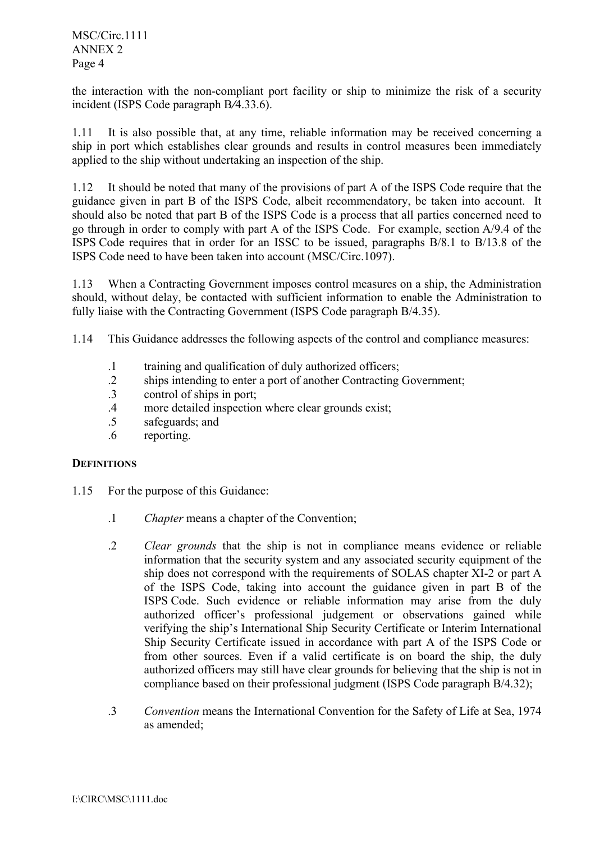the interaction with the non-compliant port facility or ship to minimize the risk of a security incident (ISPS Code paragraph B*/*4.33.6).

1.11 It is also possible that, at any time, reliable information may be received concerning a ship in port which establishes clear grounds and results in control measures been immediately applied to the ship without undertaking an inspection of the ship.

1.12 It should be noted that many of the provisions of part A of the ISPS Code require that the guidance given in part B of the ISPS Code, albeit recommendatory, be taken into account. It should also be noted that part B of the ISPS Code is a process that all parties concerned need to go through in order to comply with part A of the ISPS Code. For example, section A/9.4 of the ISPS Code requires that in order for an ISSC to be issued, paragraphs B/8.1 to B/13.8 of the ISPS Code need to have been taken into account (MSC/Circ.1097).

1.13 When a Contracting Government imposes control measures on a ship, the Administration should, without delay, be contacted with sufficient information to enable the Administration to fully liaise with the Contracting Government (ISPS Code paragraph B/4.35).

1.14 This Guidance addresses the following aspects of the control and compliance measures:

- .1 training and qualification of duly authorized officers;
- .2 ships intending to enter a port of another Contracting Government;
- .3 control of ships in port;
- .4 more detailed inspection where clear grounds exist;
- .5 safeguards; and
- .6 reporting.

## **DEFINITIONS**

- 1.15 For the purpose of this Guidance:
	- .1 *Chapter* means a chapter of the Convention;
	- .2 *Clear grounds* that the ship is not in compliance means evidence or reliable information that the security system and any associated security equipment of the ship does not correspond with the requirements of SOLAS chapter XI-2 or part A of the ISPS Code, taking into account the guidance given in part B of the ISPS Code. Such evidence or reliable information may arise from the duly authorized officer's professional judgement or observations gained while verifying the ship's International Ship Security Certificate or Interim International Ship Security Certificate issued in accordance with part A of the ISPS Code or from other sources. Even if a valid certificate is on board the ship, the duly authorized officers may still have clear grounds for believing that the ship is not in compliance based on their professional judgment (ISPS Code paragraph B/4.32);
	- .3 *Convention* means the International Convention for the Safety of Life at Sea, 1974 as amended;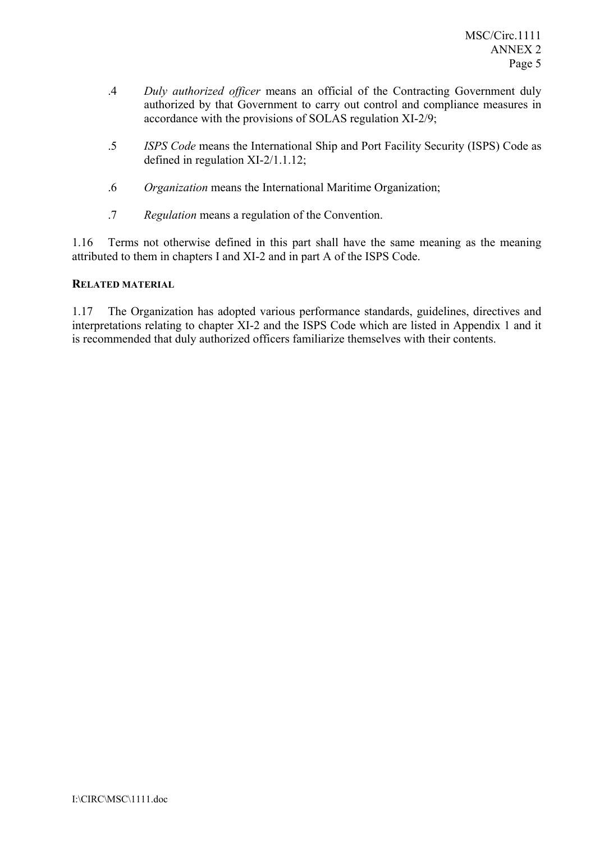- .4 *Duly authorized officer* means an official of the Contracting Government duly authorized by that Government to carry out control and compliance measures in accordance with the provisions of SOLAS regulation XI-2/9;
- .5 *ISPS Code* means the International Ship and Port Facility Security (ISPS) Code as defined in regulation XI-2/1.1.12;
- .6 *Organization* means the International Maritime Organization;
- .7 *Regulation* means a regulation of the Convention.

1.16 Terms not otherwise defined in this part shall have the same meaning as the meaning attributed to them in chapters I and XI-2 and in part A of the ISPS Code.

# **RELATED MATERIAL**

1.17 The Organization has adopted various performance standards, guidelines, directives and interpretations relating to chapter XI-2 and the ISPS Code which are listed in Appendix 1 and it is recommended that duly authorized officers familiarize themselves with their contents.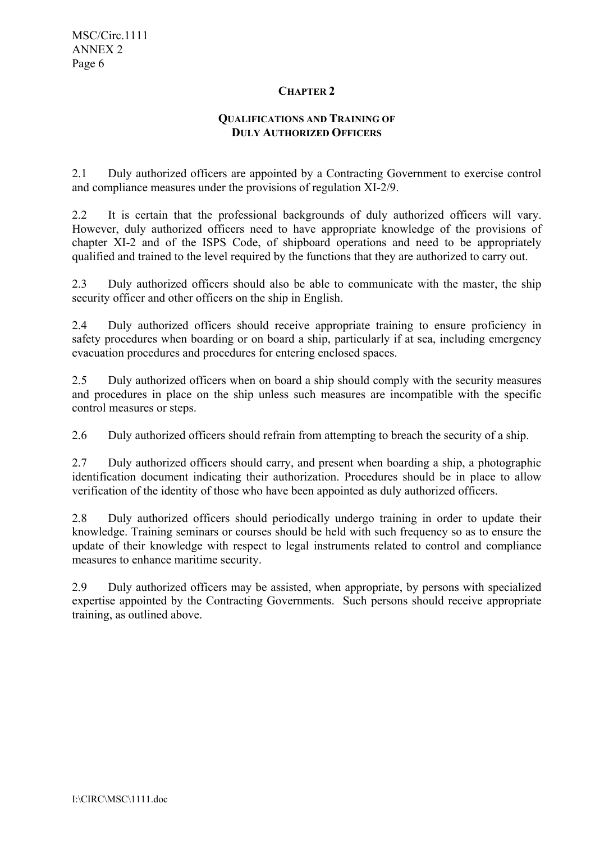# **CHAPTER 2**

# **QUALIFICATIONS AND TRAINING OF DULY AUTHORIZED OFFICERS**

2.1 Duly authorized officers are appointed by a Contracting Government to exercise control and compliance measures under the provisions of regulation XI-2/9.

2.2 It is certain that the professional backgrounds of duly authorized officers will vary. However, duly authorized officers need to have appropriate knowledge of the provisions of chapter XI-2 and of the ISPS Code, of shipboard operations and need to be appropriately qualified and trained to the level required by the functions that they are authorized to carry out.

2.3 Duly authorized officers should also be able to communicate with the master, the ship security officer and other officers on the ship in English.

2.4 Duly authorized officers should receive appropriate training to ensure proficiency in safety procedures when boarding or on board a ship, particularly if at sea, including emergency evacuation procedures and procedures for entering enclosed spaces.

2.5 Duly authorized officers when on board a ship should comply with the security measures and procedures in place on the ship unless such measures are incompatible with the specific control measures or steps.

2.6 Duly authorized officers should refrain from attempting to breach the security of a ship.

2.7 Duly authorized officers should carry, and present when boarding a ship, a photographic identification document indicating their authorization. Procedures should be in place to allow verification of the identity of those who have been appointed as duly authorized officers.

2.8 Duly authorized officers should periodically undergo training in order to update their knowledge. Training seminars or courses should be held with such frequency so as to ensure the update of their knowledge with respect to legal instruments related to control and compliance measures to enhance maritime security.

2.9 Duly authorized officers may be assisted, when appropriate, by persons with specialized expertise appointed by the Contracting Governments. Such persons should receive appropriate training, as outlined above.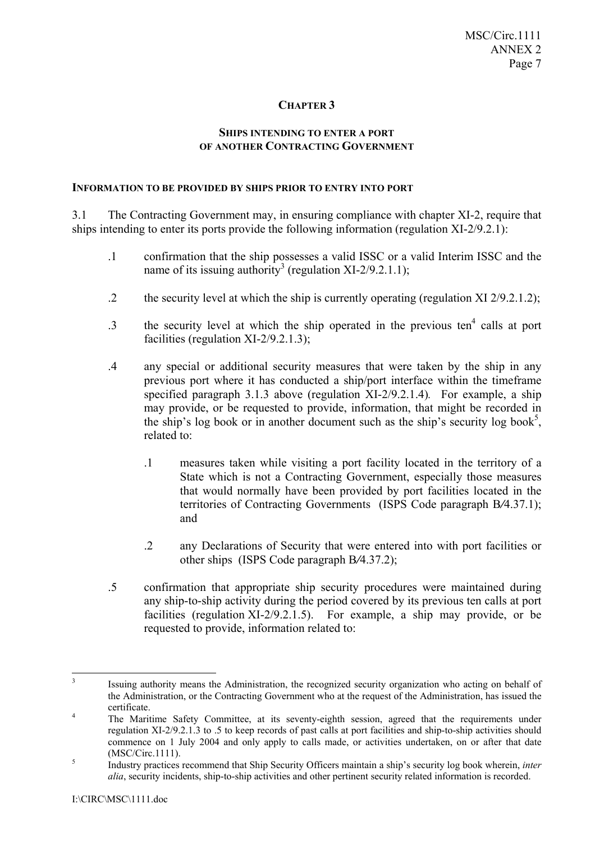# **CHAPTER 3**

## **SHIPS INTENDING TO ENTER A PORT OF ANOTHER CONTRACTING GOVERNMENT**

#### **INFORMATION TO BE PROVIDED BY SHIPS PRIOR TO ENTRY INTO PORT**

3.1 The Contracting Government may, in ensuring compliance with chapter XI-2, require that ships intending to enter its ports provide the following information (regulation XI-2/9.2.1):

- .1 confirmation that the ship possesses a valid ISSC or a valid Interim ISSC and the name of its issuing authority<sup>3</sup> (regulation XI-2/9.2.1.1);
- .2 the security level at which the ship is currently operating (regulation XI 2/9.2.1.2);
- $\cdot$  3 the security level at which the ship operated in the previous ten<sup>4</sup> calls at port facilities (regulation XI-2/9.2.1.3);
- .4 any special or additional security measures that were taken by the ship in any previous port where it has conducted a ship/port interface within the timeframe specified paragraph 3.1.3 above (regulation XI-2/9.2.1.4)*.* For example, a ship may provide, or be requested to provide, information, that might be recorded in the ship's log book or in another document such as the ship's security log book<sup>5</sup>, related to:
	- .1 measures taken while visiting a port facility located in the territory of a State which is not a Contracting Government, especially those measures that would normally have been provided by port facilities located in the territories of Contracting Governments (ISPS Code paragraph B*/*4.37.1); and
	- .2 any Declarations of Security that were entered into with port facilities or other ships (ISPS Code paragraph B*/*4.37.2);
- .5 confirmation that appropriate ship security procedures were maintained during any ship-to-ship activity during the period covered by its previous ten calls at port facilities (regulation XI-2/9.2.1.5). For example, a ship may provide, or be requested to provide, information related to:

<sup>&</sup>lt;sup>3</sup> Issuing authority means the Administration, the recognized security organization who acting on behalf of the Administration, or the Contracting Government who at the request of the Administration, has issued the certificate.

The Maritime Safety Committee, at its seventy-eighth session, agreed that the requirements under regulation XI-2/9.2.1.3 to .5 to keep records of past calls at port facilities and ship-to-ship activities should commence on 1 July 2004 and only apply to calls made, or activities undertaken, on or after that date  $(MSC/Circ.1111).$ 

Industry practices recommend that Ship Security Officers maintain a ship's security log book wherein, *inter alia*, security incidents, ship-to-ship activities and other pertinent security related information is recorded.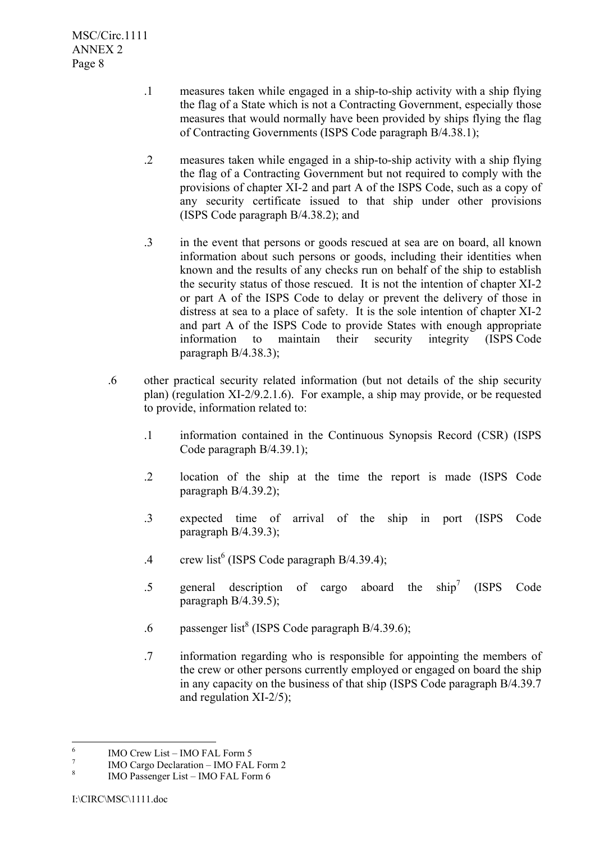- .1 measures taken while engaged in a ship-to-ship activity with a ship flying the flag of a State which is not a Contracting Government, especially those measures that would normally have been provided by ships flying the flag of Contracting Governments (ISPS Code paragraph B/4.38.1);
- .2 measures taken while engaged in a ship-to-ship activity with a ship flying the flag of a Contracting Government but not required to comply with the provisions of chapter XI-2 and part A of the ISPS Code, such as a copy of any security certificate issued to that ship under other provisions (ISPS Code paragraph B/4.38.2); and
- .3 in the event that persons or goods rescued at sea are on board, all known information about such persons or goods, including their identities when known and the results of any checks run on behalf of the ship to establish the security status of those rescued. It is not the intention of chapter XI-2 or part A of the ISPS Code to delay or prevent the delivery of those in distress at sea to a place of safety. It is the sole intention of chapter XI-2 and part A of the ISPS Code to provide States with enough appropriate information to maintain their security integrity (ISPS Code paragraph B/4.38.3);
- .6 other practical security related information (but not details of the ship security plan) (regulation XI-2/9.2.1.6). For example, a ship may provide, or be requested to provide, information related to:
	- .1 information contained in the Continuous Synopsis Record (CSR) (ISPS Code paragraph B/4.39.1);
	- .2 location of the ship at the time the report is made (ISPS Code paragraph B/4.39.2);
	- .3 expected time of arrival of the ship in port (ISPS Code paragraph B/4.39.3);
	- .4 crew list<sup>6</sup> (ISPS Code paragraph B/4.39.4);
	- .5 general description of cargo aboard the  $\sin^7$  (ISPS Code paragraph B/4.39.5);
	- .6 passenger list<sup>8</sup> (ISPS Code paragraph B/4.39.6);
	- .7 information regarding who is responsible for appointing the members of the crew or other persons currently employed or engaged on board the ship in any capacity on the business of that ship (ISPS Code paragraph B/4.39.7 and regulation XI-2/5);

 $\frac{1}{6}$ IMO Crew List - IMO FAL Form 5

<sup>7</sup> IMO Cargo Declaration – IMO FAL Form 2

<sup>8</sup> IMO Passenger List – IMO FAL Form 6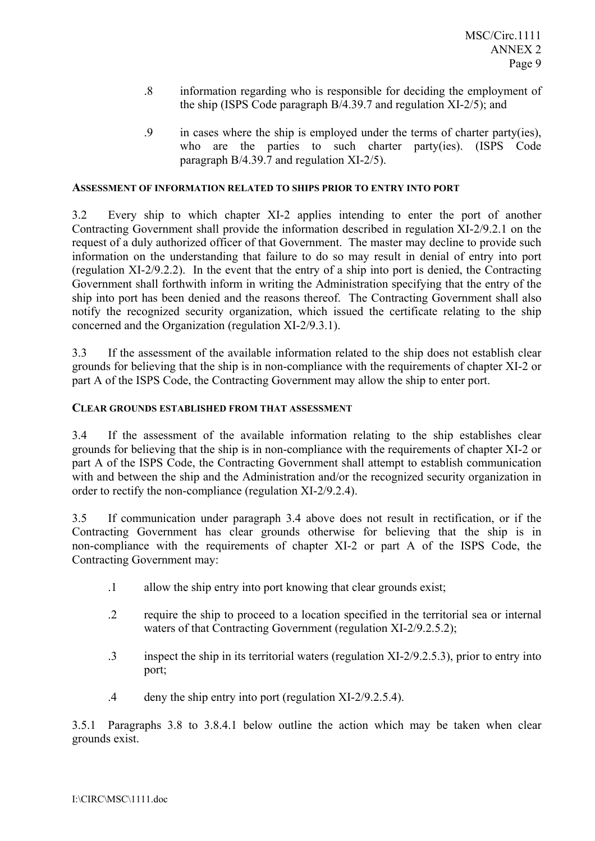- .8 information regarding who is responsible for deciding the employment of the ship (ISPS Code paragraph B/4.39.7 and regulation XI-2/5); and
- .9 in cases where the ship is employed under the terms of charter party(ies), who are the parties to such charter party(ies). (ISPS Code paragraph B/4.39.7 and regulation XI-2/5).

#### **ASSESSMENT OF INFORMATION RELATED TO SHIPS PRIOR TO ENTRY INTO PORT**

3.2 Every ship to which chapter XI-2 applies intending to enter the port of another Contracting Government shall provide the information described in regulation XI-2/9.2.1 on the request of a duly authorized officer of that Government. The master may decline to provide such information on the understanding that failure to do so may result in denial of entry into port (regulation XI-2/9.2.2). In the event that the entry of a ship into port is denied, the Contracting Government shall forthwith inform in writing the Administration specifying that the entry of the ship into port has been denied and the reasons thereof. The Contracting Government shall also notify the recognized security organization, which issued the certificate relating to the ship concerned and the Organization (regulation XI-2/9.3.1).

3.3 If the assessment of the available information related to the ship does not establish clear grounds for believing that the ship is in non-compliance with the requirements of chapter XI-2 or part A of the ISPS Code, the Contracting Government may allow the ship to enter port.

#### **CLEAR GROUNDS ESTABLISHED FROM THAT ASSESSMENT**

3.4 If the assessment of the available information relating to the ship establishes clear grounds for believing that the ship is in non-compliance with the requirements of chapter XI-2 or part A of the ISPS Code, the Contracting Government shall attempt to establish communication with and between the ship and the Administration and/or the recognized security organization in order to rectify the non-compliance (regulation XI-2/9.2.4).

3.5 If communication under paragraph 3.4 above does not result in rectification, or if the Contracting Government has clear grounds otherwise for believing that the ship is in non-compliance with the requirements of chapter XI-2 or part A of the ISPS Code, the Contracting Government may:

- .1 allow the ship entry into port knowing that clear grounds exist;
- .2 require the ship to proceed to a location specified in the territorial sea or internal waters of that Contracting Government (regulation XI-2/9.2.5.2);
- .3 inspect the ship in its territorial waters (regulation XI-2/9.2.5.3), prior to entry into port;
- .4 deny the ship entry into port (regulation XI-2/9.2.5.4).

3.5.1 Paragraphs 3.8 to 3.8.4.1 below outline the action which may be taken when clear grounds exist.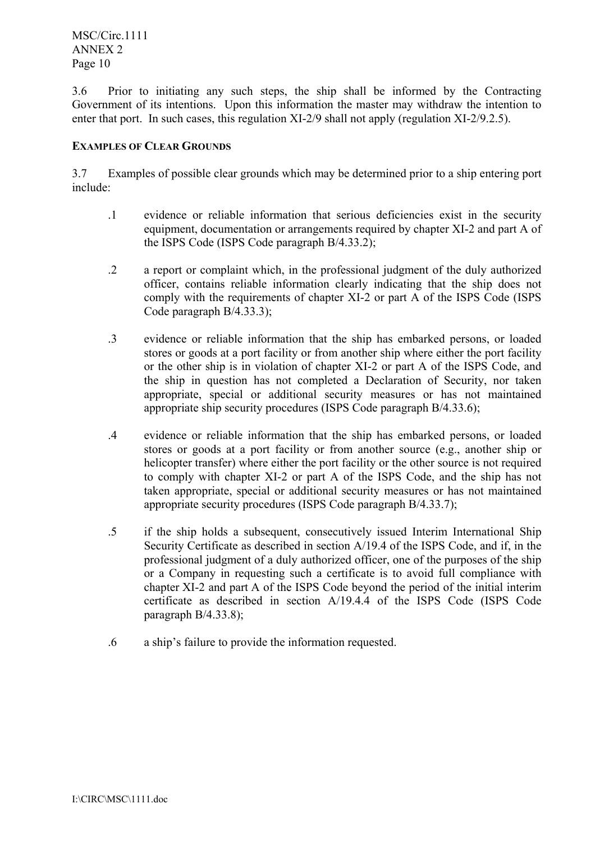3.6 Prior to initiating any such steps, the ship shall be informed by the Contracting Government of its intentions. Upon this information the master may withdraw the intention to enter that port. In such cases, this regulation XI-2/9 shall not apply (regulation XI-2/9.2.5).

# **EXAMPLES OF CLEAR GROUNDS**

3.7 Examples of possible clear grounds which may be determined prior to a ship entering port include:

- .1 evidence or reliable information that serious deficiencies exist in the security equipment, documentation or arrangements required by chapter XI-2 and part A of the ISPS Code (ISPS Code paragraph B/4.33.2);
- .2 a report or complaint which, in the professional judgment of the duly authorized officer, contains reliable information clearly indicating that the ship does not comply with the requirements of chapter XI-2 or part A of the ISPS Code (ISPS Code paragraph B/4.33.3);
- .3 evidence or reliable information that the ship has embarked persons, or loaded stores or goods at a port facility or from another ship where either the port facility or the other ship is in violation of chapter XI-2 or part A of the ISPS Code, and the ship in question has not completed a Declaration of Security, nor taken appropriate, special or additional security measures or has not maintained appropriate ship security procedures (ISPS Code paragraph B/4.33.6);
- .4 evidence or reliable information that the ship has embarked persons, or loaded stores or goods at a port facility or from another source (e.g., another ship or helicopter transfer) where either the port facility or the other source is not required to comply with chapter XI-2 or part A of the ISPS Code, and the ship has not taken appropriate, special or additional security measures or has not maintained appropriate security procedures (ISPS Code paragraph B/4.33.7);
- .5 if the ship holds a subsequent, consecutively issued Interim International Ship Security Certificate as described in section A/19.4 of the ISPS Code, and if, in the professional judgment of a duly authorized officer, one of the purposes of the ship or a Company in requesting such a certificate is to avoid full compliance with chapter XI-2 and part A of the ISPS Code beyond the period of the initial interim certificate as described in section A/19.4.4 of the ISPS Code (ISPS Code paragraph B/4.33.8);
- .6 a shipís failure to provide the information requested.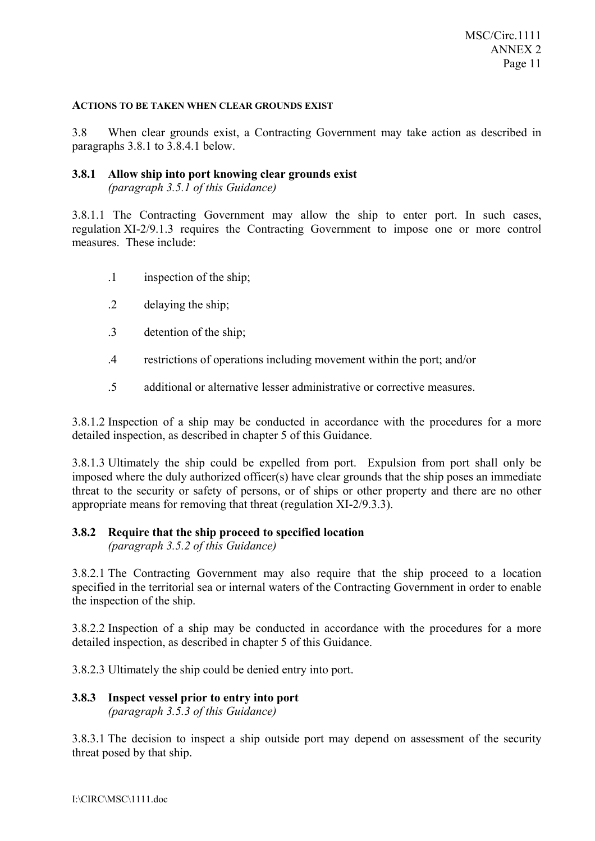#### **ACTIONS TO BE TAKEN WHEN CLEAR GROUNDS EXIST**

3.8 When clear grounds exist, a Contracting Government may take action as described in paragraphs 3.8.1 to 3.8.4.1 below.

#### **3.8.1 Allow ship into port knowing clear grounds exist** *(paragraph 3.5.1 of this Guidance)*

3.8.1.1 The Contracting Government may allow the ship to enter port. In such cases, regulation XI-2/9.1.3 requires the Contracting Government to impose one or more control measures. These include:

- .1 inspection of the ship;
- .2 delaying the ship;
- .3 detention of the ship;
- .4 restrictions of operations including movement within the port; and/or
- .5 additional or alternative lesser administrative or corrective measures.

3.8.1.2 Inspection of a ship may be conducted in accordance with the procedures for a more detailed inspection, as described in chapter 5 of this Guidance.

3.8.1.3 Ultimately the ship could be expelled from port. Expulsion from port shall only be imposed where the duly authorized officer(s) have clear grounds that the ship poses an immediate threat to the security or safety of persons, or of ships or other property and there are no other appropriate means for removing that threat (regulation XI-2/9.3.3).

# **3.8.2 Require that the ship proceed to specified location**

*(paragraph 3.5.2 of this Guidance)* 

3.8.2.1 The Contracting Government may also require that the ship proceed to a location specified in the territorial sea or internal waters of the Contracting Government in order to enable the inspection of the ship.

3.8.2.2 Inspection of a ship may be conducted in accordance with the procedures for a more detailed inspection, as described in chapter 5 of this Guidance.

3.8.2.3 Ultimately the ship could be denied entry into port.

## **3.8.3 Inspect vessel prior to entry into port**  *(paragraph 3.5.3 of this Guidance)*

3.8.3.1 The decision to inspect a ship outside port may depend on assessment of the security threat posed by that ship.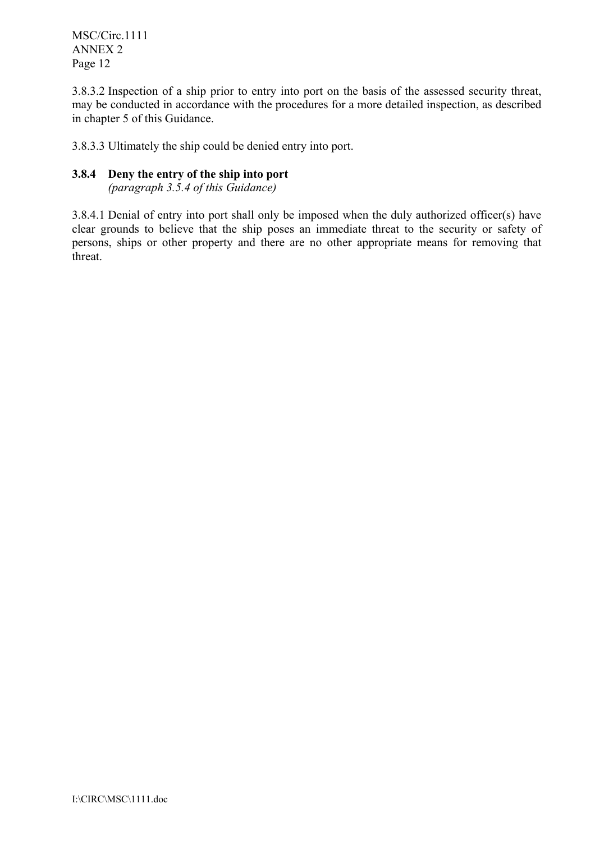MSC/Circ.1111 ANNEX 2 Page 12

3.8.3.2 Inspection of a ship prior to entry into port on the basis of the assessed security threat, may be conducted in accordance with the procedures for a more detailed inspection, as described in chapter 5 of this Guidance.

3.8.3.3 Ultimately the ship could be denied entry into port.

# **3.8.4 Deny the entry of the ship into port**

*(paragraph 3.5.4 of this Guidance)*

3.8.4.1 Denial of entry into port shall only be imposed when the duly authorized officer(s) have clear grounds to believe that the ship poses an immediate threat to the security or safety of persons, ships or other property and there are no other appropriate means for removing that threat.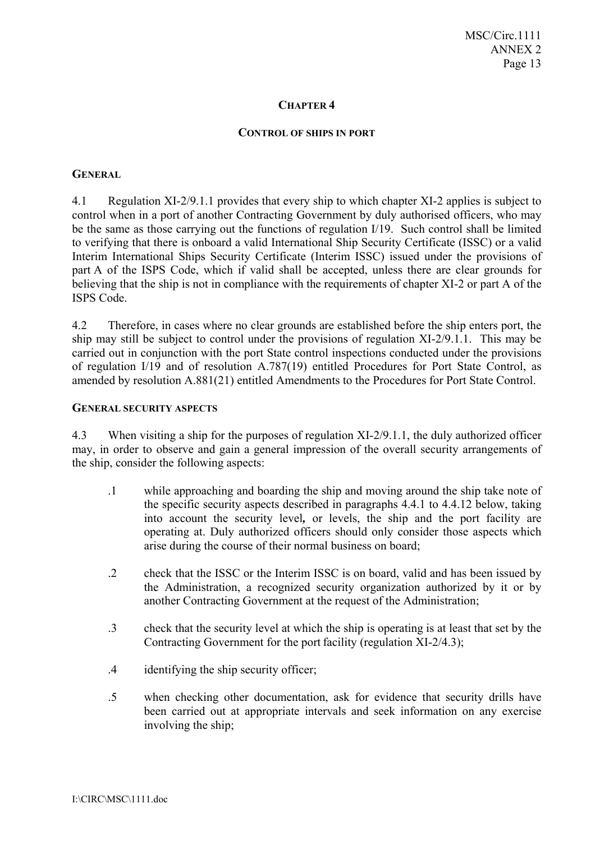#### **CHAPTER 4**

#### **CONTROL OF SHIPS IN PORT**

#### **GENERAL**

4.1 Regulation XI-2/9.1.1 provides that every ship to which chapter XI-2 applies is subject to control when in a port of another Contracting Government by duly authorised officers, who may be the same as those carrying out the functions of regulation I/19. Such control shall be limited to verifying that there is onboard a valid International Ship Security Certificate (ISSC) or a valid Interim International Ships Security Certificate (Interim ISSC) issued under the provisions of part A of the ISPS Code, which if valid shall be accepted, unless there are clear grounds for believing that the ship is not in compliance with the requirements of chapter XI-2 or part A of the ISPS Code.

4.2 Therefore, in cases where no clear grounds are established before the ship enters port, the ship may still be subject to control under the provisions of regulation XI-2/9.1.1. This may be carried out in conjunction with the port State control inspections conducted under the provisions of regulation I/19 and of resolution A.787(19) entitled Procedures for Port State Control, as amended by resolution A.881(21) entitled Amendments to the Procedures for Port State Control.

## **GENERAL SECURITY ASPECTS**

4.3 When visiting a ship for the purposes of regulation XI-2/9.1.1, the duly authorized officer may, in order to observe and gain a general impression of the overall security arrangements of the ship, consider the following aspects:

- .1 while approaching and boarding the ship and moving around the ship take note of the specific security aspects described in paragraphs 4.4.1 to 4.4.12 below, taking into account the security level*,* or levels, the ship and the port facility are operating at. Duly authorized officers should only consider those aspects which arise during the course of their normal business on board;
- .2 check that the ISSC or the Interim ISSC is on board, valid and has been issued by the Administration, a recognized security organization authorized by it or by another Contracting Government at the request of the Administration;
- .3 check that the security level at which the ship is operating is at least that set by the Contracting Government for the port facility (regulation XI-2/4.3);
- .4 identifying the ship security officer;
- .5 when checking other documentation, ask for evidence that security drills have been carried out at appropriate intervals and seek information on any exercise involving the ship;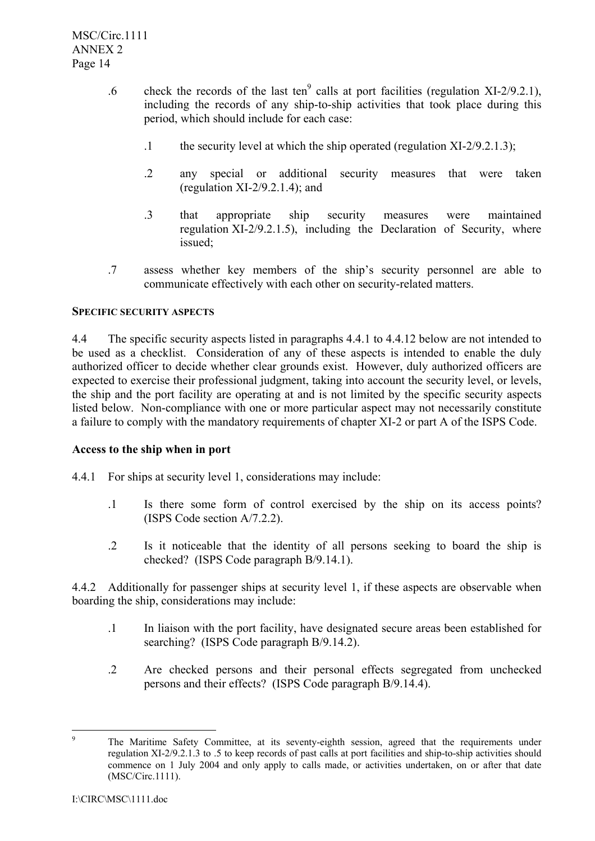MSC/Circ.1111 ANNEX 2 Page 14

- .6 check the records of the last ten<sup>9</sup> calls at port facilities (regulation XI-2/9.2.1), including the records of any ship-to-ship activities that took place during this period, which should include for each case:
	- .1 the security level at which the ship operated (regulation  $XI-2/9.2.1.3$ );
	- .2 any special or additional security measures that were taken (regulation  $XI-2/9.2.1.4$ ); and
	- .3 that appropriate ship security measures were maintained regulation XI-2/9.2.1.5), including the Declaration of Security, where issued;
- .7 assess whether key members of the shipís security personnel are able to communicate effectively with each other on security-related matters.

# **SPECIFIC SECURITY ASPECTS**

4.4 The specific security aspects listed in paragraphs 4.4.1 to 4.4.12 below are not intended to be used as a checklist. Consideration of any of these aspects is intended to enable the duly authorized officer to decide whether clear grounds exist. However, duly authorized officers are expected to exercise their professional judgment, taking into account the security level, or levels, the ship and the port facility are operating at and is not limited by the specific security aspects listed below. Non-compliance with one or more particular aspect may not necessarily constitute a failure to comply with the mandatory requirements of chapter XI-2 or part A of the ISPS Code.

## **Access to the ship when in port**

- 4.4.1 For ships at security level 1, considerations may include:
	- .1 Is there some form of control exercised by the ship on its access points? (ISPS Code section A/7.2.2).
	- .2 Is it noticeable that the identity of all persons seeking to board the ship is checked? (ISPS Code paragraph B/9.14.1).

4.4.2 Additionally for passenger ships at security level 1, if these aspects are observable when boarding the ship, considerations may include:

- .1 In liaison with the port facility, have designated secure areas been established for searching? (ISPS Code paragraph B/9.14.2).
- .2 Are checked persons and their personal effects segregated from unchecked persons and their effects? (ISPS Code paragraph B/9.14.4).

<sup>-&</sup>lt;br>9 The Maritime Safety Committee, at its seventy-eighth session, agreed that the requirements under regulation XI-2/9.2.1.3 to .5 to keep records of past calls at port facilities and ship-to-ship activities should commence on 1 July 2004 and only apply to calls made, or activities undertaken, on or after that date (MSC/Circ.1111).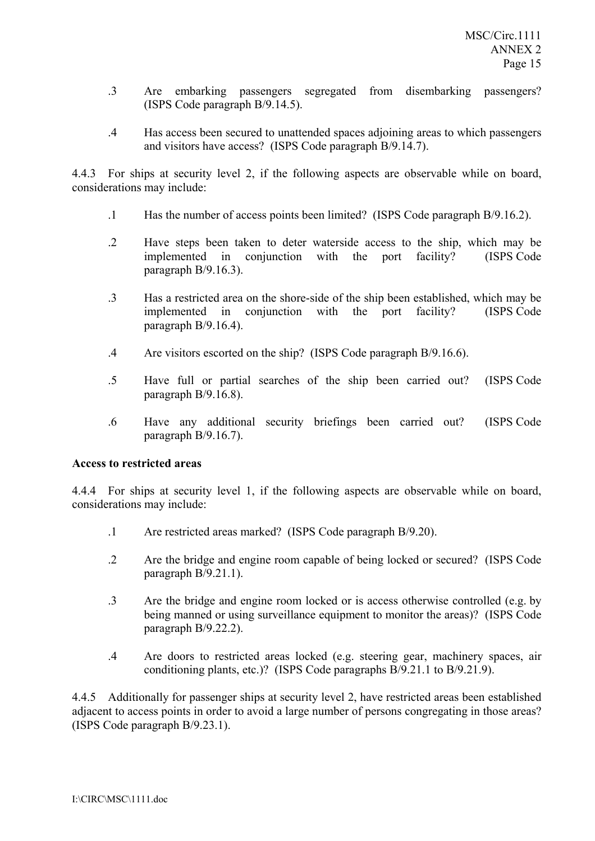- .3 Are embarking passengers segregated from disembarking passengers? (ISPS Code paragraph B/9.14.5).
- .4 Has access been secured to unattended spaces adjoining areas to which passengers and visitors have access? (ISPS Code paragraph B/9.14.7).

4.4.3 For ships at security level 2, if the following aspects are observable while on board, considerations may include:

- .1 Has the number of access points been limited? (ISPS Code paragraph B/9.16.2).
- .2 Have steps been taken to deter waterside access to the ship, which may be implemented in conjunction with the port facility? (ISPS Code paragraph B/9.16.3).
- .3 Has a restricted area on the shore-side of the ship been established, which may be implemented in conjunction with the port facility? (ISPS Code paragraph B/9.16.4).
- .4 Are visitors escorted on the ship? (ISPS Code paragraph B/9.16.6).
- .5 Have full or partial searches of the ship been carried out? (ISPS Code paragraph B/9.16.8).
- .6 Have any additional security briefings been carried out? (ISPS Code paragraph B/9.16.7).

# **Access to restricted areas**

4.4.4 For ships at security level 1, if the following aspects are observable while on board, considerations may include:

- .1 Are restricted areas marked? (ISPS Code paragraph B/9.20).
- .2 Are the bridge and engine room capable of being locked or secured? (ISPS Code paragraph B/9.21.1).
- .3 Are the bridge and engine room locked or is access otherwise controlled (e.g. by being manned or using surveillance equipment to monitor the areas)? (ISPS Code paragraph B/9.22.2).
- .4 Are doors to restricted areas locked (e.g. steering gear, machinery spaces, air conditioning plants, etc.)? (ISPS Code paragraphs B/9.21.1 to B/9.21.9).

4.4.5 Additionally for passenger ships at security level 2, have restricted areas been established adjacent to access points in order to avoid a large number of persons congregating in those areas? (ISPS Code paragraph B/9.23.1).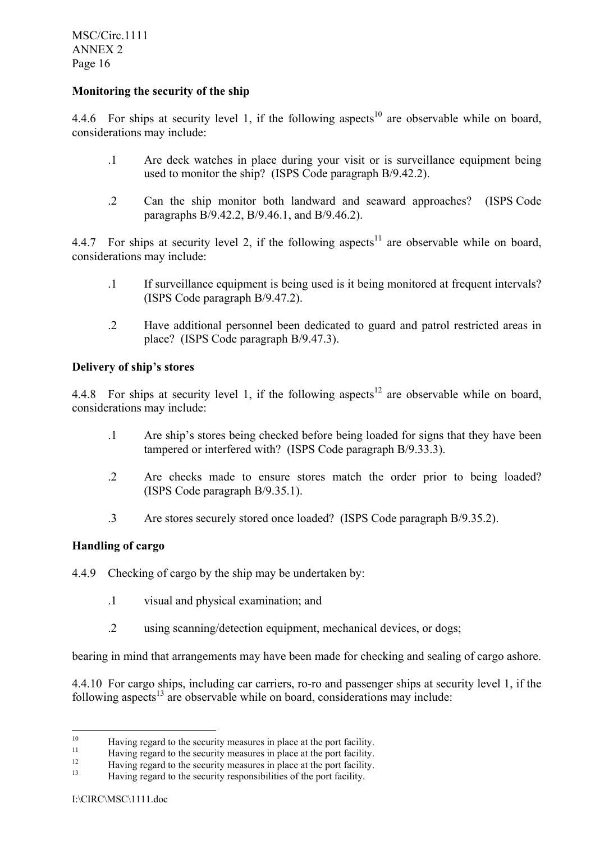MSC/Circ.1111 ANNEX 2 Page 16

# **Monitoring the security of the ship**

4.4.6 For ships at security level 1, if the following aspects<sup>10</sup> are observable while on board, considerations may include:

- .1 Are deck watches in place during your visit or is surveillance equipment being used to monitor the ship? (ISPS Code paragraph B/9.42.2).
- .2 Can the ship monitor both landward and seaward approaches? (ISPS Code paragraphs B/9.42.2, B/9.46.1, and B/9.46.2).

4.4.7 For ships at security level 2, if the following aspects<sup>11</sup> are observable while on board, considerations may include:

- .1 If surveillance equipment is being used is it being monitored at frequent intervals? (ISPS Code paragraph B/9.47.2).
- .2 Have additional personnel been dedicated to guard and patrol restricted areas in place? (ISPS Code paragraph B/9.47.3).

# **Delivery of ship's stores**

4.4.8 For ships at security level 1, if the following aspects<sup>12</sup> are observable while on board, considerations may include:

- .1 Are shipís stores being checked before being loaded for signs that they have been tampered or interfered with? (ISPS Code paragraph B/9.33.3).
- .2 Are checks made to ensure stores match the order prior to being loaded? (ISPS Code paragraph B/9.35.1).
- .3 Are stores securely stored once loaded? (ISPS Code paragraph B/9.35.2).

# **Handling of cargo**

- 4.4.9 Checking of cargo by the ship may be undertaken by:
	- .1 visual and physical examination; and
	- .2 using scanning/detection equipment, mechanical devices, or dogs;

bearing in mind that arrangements may have been made for checking and sealing of cargo ashore.

4.4.10 For cargo ships, including car carriers, ro-ro and passenger ships at security level 1, if the following aspects<sup>13</sup> are observable while on board, considerations may include:

 $10<sup>10</sup>$ 

<sup>&</sup>lt;sup>10</sup><br>Having regard to the security measures in place at the port facility.<br>Having regard to the security measures in place at the port facility.<br>Having regard to the security measures in place at the port facility.<br>Having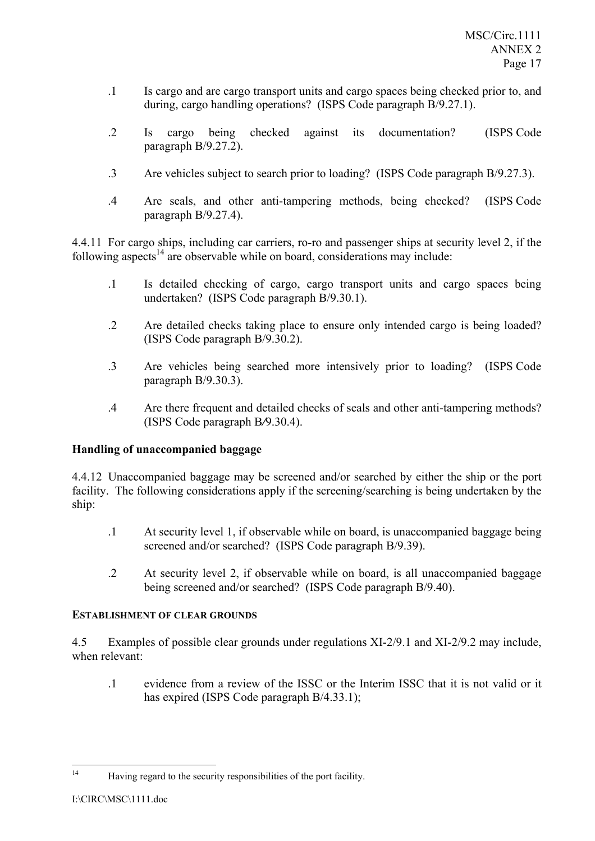- .1 Is cargo and are cargo transport units and cargo spaces being checked prior to, and during, cargo handling operations? (ISPS Code paragraph B/9.27.1).
- .2 Is cargo being checked against its documentation? (ISPS Code paragraph B/9.27.2).
- .3 Are vehicles subject to search prior to loading? (ISPS Code paragraph B/9.27.3).
- .4 Are seals, and other anti-tampering methods, being checked? (ISPS Code paragraph B/9.27.4).

4.4.11 For cargo ships, including car carriers, ro-ro and passenger ships at security level 2, if the following aspects<sup>14</sup> are observable while on board, considerations may include:

- .1 Is detailed checking of cargo, cargo transport units and cargo spaces being undertaken? (ISPS Code paragraph B/9.30.1).
- .2 Are detailed checks taking place to ensure only intended cargo is being loaded? (ISPS Code paragraph B/9.30.2).
- .3 Are vehicles being searched more intensively prior to loading? (ISPS Code paragraph B/9.30.3).
- .4 Are there frequent and detailed checks of seals and other anti-tampering methods? (ISPS Code paragraph B*/*9.30.4).

# **Handling of unaccompanied baggage**

4.4.12 Unaccompanied baggage may be screened and/or searched by either the ship or the port facility. The following considerations apply if the screening/searching is being undertaken by the ship:

- .1 At security level 1, if observable while on board, is unaccompanied baggage being screened and/or searched? (ISPS Code paragraph B/9.39).
- .2 At security level 2, if observable while on board, is all unaccompanied baggage being screened and/or searched? (ISPS Code paragraph B/9.40).

# **ESTABLISHMENT OF CLEAR GROUNDS**

4.5 Examples of possible clear grounds under regulations XI-2/9.1 and XI-2/9.2 may include, when relevant:

.1 evidence from a review of the ISSC or the Interim ISSC that it is not valid or it has expired (ISPS Code paragraph B/4.33.1);

 $14$ 14 Having regard to the security responsibilities of the port facility.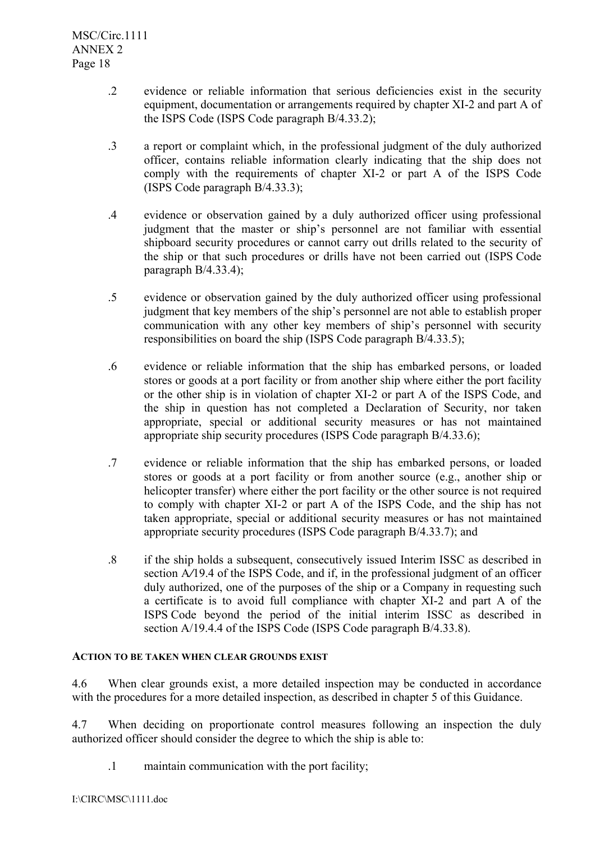- .2 evidence or reliable information that serious deficiencies exist in the security equipment, documentation or arrangements required by chapter XI-2 and part A of the ISPS Code (ISPS Code paragraph B/4.33.2);
- .3 a report or complaint which, in the professional judgment of the duly authorized officer, contains reliable information clearly indicating that the ship does not comply with the requirements of chapter XI-2 or part A of the ISPS Code (ISPS Code paragraph B/4.33.3);
- .4 evidence or observation gained by a duly authorized officer using professional judgment that the master or ship's personnel are not familiar with essential shipboard security procedures or cannot carry out drills related to the security of the ship or that such procedures or drills have not been carried out (ISPS Code paragraph B/4.33.4);
- .5 evidence or observation gained by the duly authorized officer using professional judgment that key members of the ship's personnel are not able to establish proper communication with any other key members of ship's personnel with security responsibilities on board the ship (ISPS Code paragraph B/4.33.5);
- .6 evidence or reliable information that the ship has embarked persons, or loaded stores or goods at a port facility or from another ship where either the port facility or the other ship is in violation of chapter XI-2 or part A of the ISPS Code, and the ship in question has not completed a Declaration of Security, nor taken appropriate, special or additional security measures or has not maintained appropriate ship security procedures (ISPS Code paragraph B/4.33.6);
- .7 evidence or reliable information that the ship has embarked persons, or loaded stores or goods at a port facility or from another source (e.g., another ship or helicopter transfer) where either the port facility or the other source is not required to comply with chapter XI-2 or part A of the ISPS Code, and the ship has not taken appropriate, special or additional security measures or has not maintained appropriate security procedures (ISPS Code paragraph B/4.33.7); and
- .8 if the ship holds a subsequent, consecutively issued Interim ISSC as described in section A/19.4 of the ISPS Code, and if, in the professional judgment of an officer duly authorized, one of the purposes of the ship or a Company in requesting such a certificate is to avoid full compliance with chapter XI-2 and part A of the ISPS Code beyond the period of the initial interim ISSC as described in section A/19.4.4 of the ISPS Code (ISPS Code paragraph B/4.33.8).

# **ACTION TO BE TAKEN WHEN CLEAR GROUNDS EXIST**

4.6 When clear grounds exist, a more detailed inspection may be conducted in accordance with the procedures for a more detailed inspection, as described in chapter 5 of this Guidance.

4.7 When deciding on proportionate control measures following an inspection the duly authorized officer should consider the degree to which the ship is able to:

.1 maintain communication with the port facility;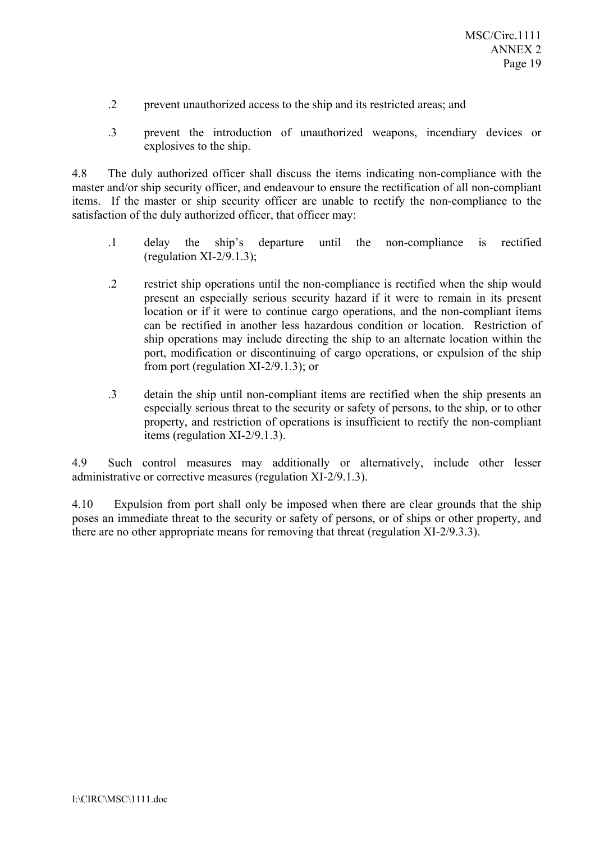- .2 prevent unauthorized access to the ship and its restricted areas; and
- .3 prevent the introduction of unauthorized weapons, incendiary devices or explosives to the ship.

4.8 The duly authorized officer shall discuss the items indicating non-compliance with the master and/or ship security officer, and endeavour to ensure the rectification of all non-compliant items. If the master or ship security officer are unable to rectify the non-compliance to the satisfaction of the duly authorized officer, that officer may:

- .1 delay the shipís departure until the non-compliance is rectified (regulation  $XI-2/9.1.3$ );
- .2 restrict ship operations until the non-compliance is rectified when the ship would present an especially serious security hazard if it were to remain in its present location or if it were to continue cargo operations, and the non-compliant items can be rectified in another less hazardous condition or location. Restriction of ship operations may include directing the ship to an alternate location within the port, modification or discontinuing of cargo operations, or expulsion of the ship from port (regulation XI-2/9.1.3); or
- .3 detain the ship until non-compliant items are rectified when the ship presents an especially serious threat to the security or safety of persons, to the ship, or to other property, and restriction of operations is insufficient to rectify the non-compliant items (regulation XI-2/9.1.3).

4.9 Such control measures may additionally or alternatively, include other lesser administrative or corrective measures (regulation XI-2/9.1.3).

4.10 Expulsion from port shall only be imposed when there are clear grounds that the ship poses an immediate threat to the security or safety of persons, or of ships or other property, and there are no other appropriate means for removing that threat (regulation XI-2/9.3.3).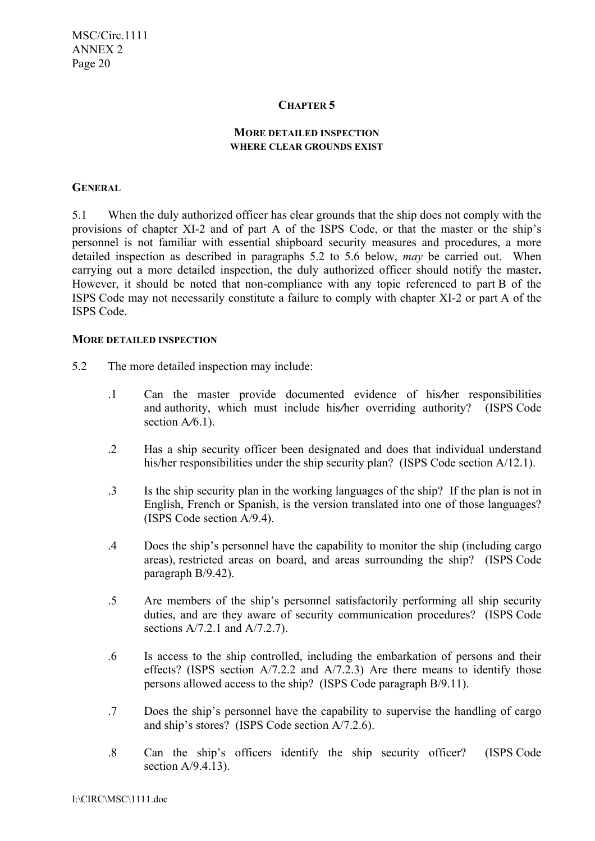## **CHAPTER 5**

## **MORE DETAILED INSPECTION WHERE CLEAR GROUNDS EXIST**

## **GENERAL**

5.1 When the duly authorized officer has clear grounds that the ship does not comply with the provisions of chapter XI-2 and of part A of the ISPS Code, or that the master or the ship's personnel is not familiar with essential shipboard security measures and procedures, a more detailed inspection as described in paragraphs 5.2 to 5.6 below, *may* be carried out. When carrying out a more detailed inspection, the duly authorized officer should notify the master**.** However, it should be noted that non-compliance with any topic referenced to part B of the ISPS Code may not necessarily constitute a failure to comply with chapter XI-2 or part A of the ISPS Code.

#### **MORE DETAILED INSPECTION**

- 5.2 The more detailed inspection may include:
	- .1 Can the master provide documented evidence of his*/*her responsibilities and authority, which must include his*/*her overriding authority? (ISPS Code section A*/*6.1).
	- .2 Has a ship security officer been designated and does that individual understand his/her responsibilities under the ship security plan? (ISPS Code section A/12.1).
	- .3 Is the ship security plan in the working languages of the ship? If the plan is not in English, French or Spanish, is the version translated into one of those languages? (ISPS Code section A/9.4).
	- .4 Does the shipís personnel have the capability to monitor the ship (including cargo areas), restricted areas on board, and areas surrounding the ship? (ISPS Code paragraph B/9.42).
	- .5 Are members of the shipís personnel satisfactorily performing all ship security duties, and are they aware of security communication procedures? (ISPS Code sections A/7.2.1 and A/7.2.7).
	- .6 Is access to the ship controlled, including the embarkation of persons and their effects? (ISPS section A/7.2.2 and A/7.2.3) Are there means to identify those persons allowed access to the ship? (ISPS Code paragraph B/9.11).
	- .7 Does the shipís personnel have the capability to supervise the handling of cargo and ship's stores? (ISPS Code section  $A/7.2.6$ ).
	- .8 Can the shipís officers identify the ship security officer? (ISPS Code section A/9.4.13).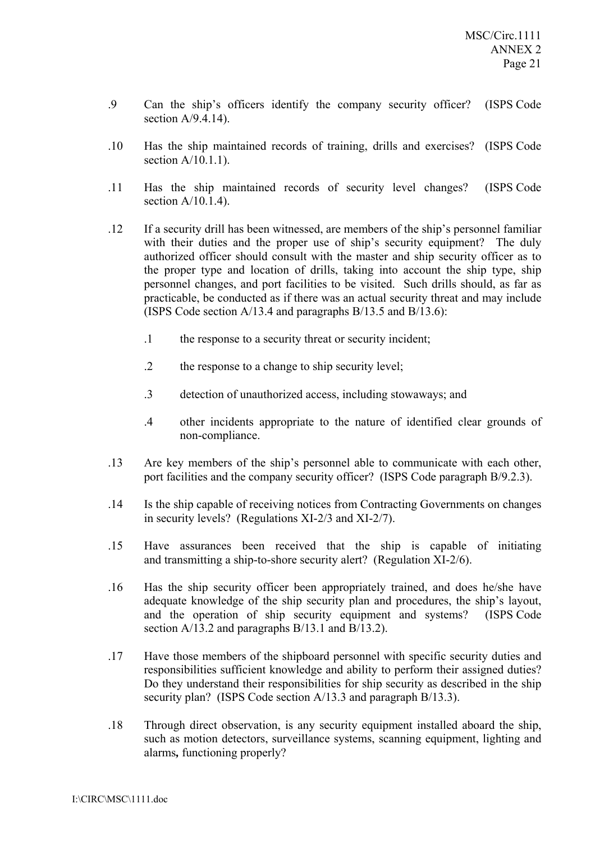- .9 Can the shipís officers identify the company security officer? (ISPS Code section  $A/9.4.14$ ).
- .10 Has the ship maintained records of training, drills and exercises? (ISPS Code section  $A/10.1.1$ ).
- .11 Has the ship maintained records of security level changes? (ISPS Code section  $A/10.1.4$ ).
- .12 If a security drill has been witnessed, are members of the ship's personnel familiar with their duties and the proper use of ship's security equipment? The duly authorized officer should consult with the master and ship security officer as to the proper type and location of drills, taking into account the ship type, ship personnel changes, and port facilities to be visited. Such drills should, as far as practicable, be conducted as if there was an actual security threat and may include (ISPS Code section A/13.4 and paragraphs B/13.5 and B/13.6):
	- .1 the response to a security threat or security incident;
	- .2 the response to a change to ship security level;
	- .3 detection of unauthorized access, including stowaways; and
	- .4 other incidents appropriate to the nature of identified clear grounds of non-compliance.
- .13 Are key members of the shipís personnel able to communicate with each other, port facilities and the company security officer? (ISPS Code paragraph B/9.2.3).
- .14 Is the ship capable of receiving notices from Contracting Governments on changes in security levels? (Regulations XI-2/3 and XI-2/7).
- .15 Have assurances been received that the ship is capable of initiating and transmitting a ship-to-shore security alert? (Regulation XI-2/6).
- .16 Has the ship security officer been appropriately trained, and does he/she have adequate knowledge of the ship security plan and procedures, the ship's layout, and the operation of ship security equipment and systems? (ISPS Code section A/13.2 and paragraphs B/13.1 and B/13.2).
- .17 Have those members of the shipboard personnel with specific security duties and responsibilities sufficient knowledge and ability to perform their assigned duties? Do they understand their responsibilities for ship security as described in the ship security plan? (ISPS Code section A/13.3 and paragraph B/13.3).
- .18 Through direct observation, is any security equipment installed aboard the ship, such as motion detectors, surveillance systems, scanning equipment, lighting and alarms*,* functioning properly?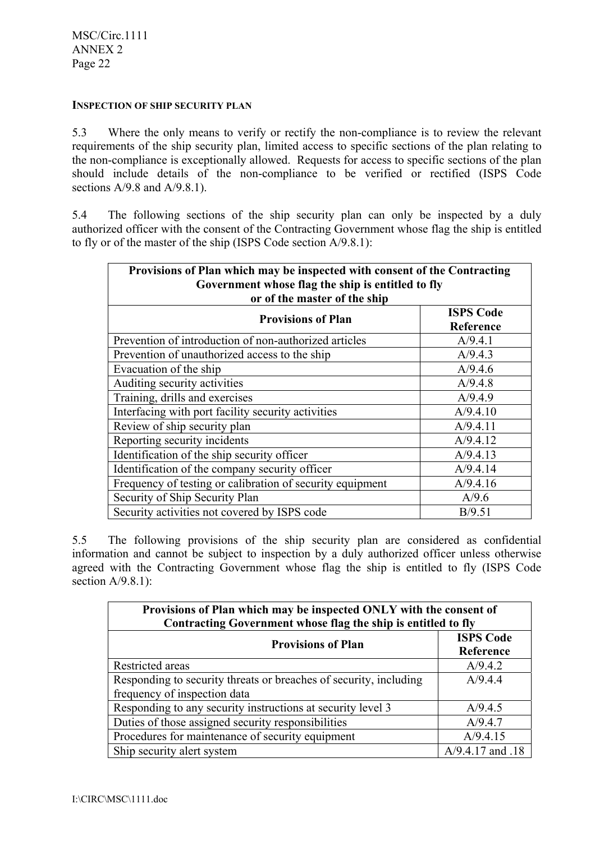## **INSPECTION OF SHIP SECURITY PLAN**

5.3 Where the only means to verify or rectify the non-compliance is to review the relevant requirements of the ship security plan, limited access to specific sections of the plan relating to the non-compliance is exceptionally allowed. Requests for access to specific sections of the plan should include details of the non-compliance to be verified or rectified (ISPS Code sections  $A/9.8$  and  $A/9.8.1$ ).

5.4 The following sections of the ship security plan can only be inspected by a duly authorized officer with the consent of the Contracting Government whose flag the ship is entitled to fly or of the master of the ship (ISPS Code section A/9.8.1):

| Provisions of Plan which may be inspected with consent of the Contracting<br>Government whose flag the ship is entitled to fly<br>or of the master of the ship |                               |  |
|----------------------------------------------------------------------------------------------------------------------------------------------------------------|-------------------------------|--|
| <b>Provisions of Plan</b>                                                                                                                                      | <b>ISPS Code</b><br>Reference |  |
| Prevention of introduction of non-authorized articles                                                                                                          | A/9.4.1                       |  |
| Prevention of unauthorized access to the ship                                                                                                                  | A/9.4.3                       |  |
| Evacuation of the ship                                                                                                                                         | A/9.4.6                       |  |
| Auditing security activities                                                                                                                                   | A/9.4.8                       |  |
| Training, drills and exercises                                                                                                                                 | A/9.4.9                       |  |
| Interfacing with port facility security activities                                                                                                             | A/9.4.10                      |  |
| Review of ship security plan                                                                                                                                   | A/9.4.11                      |  |
| Reporting security incidents                                                                                                                                   | A/9.4.12                      |  |
| Identification of the ship security officer                                                                                                                    | A/9.4.13                      |  |
| Identification of the company security officer                                                                                                                 | A/9.4.14                      |  |
| Frequency of testing or calibration of security equipment                                                                                                      | A/9.4.16                      |  |
| Security of Ship Security Plan                                                                                                                                 | A/9.6                         |  |
| Security activities not covered by ISPS code                                                                                                                   | B/9.51                        |  |

5.5 The following provisions of the ship security plan are considered as confidential information and cannot be subject to inspection by a duly authorized officer unless otherwise agreed with the Contracting Government whose flag the ship is entitled to fly (ISPS Code section  $A/9.8.1$ ):

| Provisions of Plan which may be inspected ONLY with the consent of<br>Contracting Government whose flag the ship is entitled to fly |                               |  |  |
|-------------------------------------------------------------------------------------------------------------------------------------|-------------------------------|--|--|
| <b>Provisions of Plan</b>                                                                                                           | <b>ISPS Code</b><br>Reference |  |  |
| Restricted areas                                                                                                                    | A/9.4.2                       |  |  |
| Responding to security threats or breaches of security, including                                                                   | A/9.4.4                       |  |  |
| frequency of inspection data                                                                                                        |                               |  |  |
| Responding to any security instructions at security level 3                                                                         | A/9.4.5                       |  |  |
| Duties of those assigned security responsibilities                                                                                  | A/9.4.7                       |  |  |
| Procedures for maintenance of security equipment                                                                                    | A/9.4.15                      |  |  |
| Ship security alert system                                                                                                          | A/9.4.17 and .18              |  |  |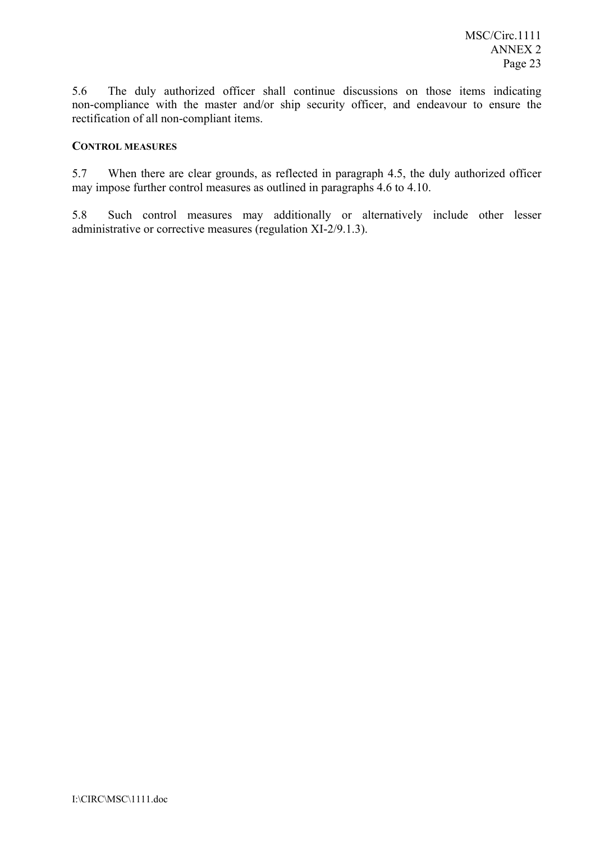5.6 The duly authorized officer shall continue discussions on those items indicating non-compliance with the master and/or ship security officer, and endeavour to ensure the rectification of all non-compliant items.

## **CONTROL MEASURES**

5.7 When there are clear grounds, as reflected in paragraph 4.5, the duly authorized officer may impose further control measures as outlined in paragraphs 4.6 to 4.10.

5.8 Such control measures may additionally or alternatively include other lesser administrative or corrective measures (regulation XI-2/9.1.3).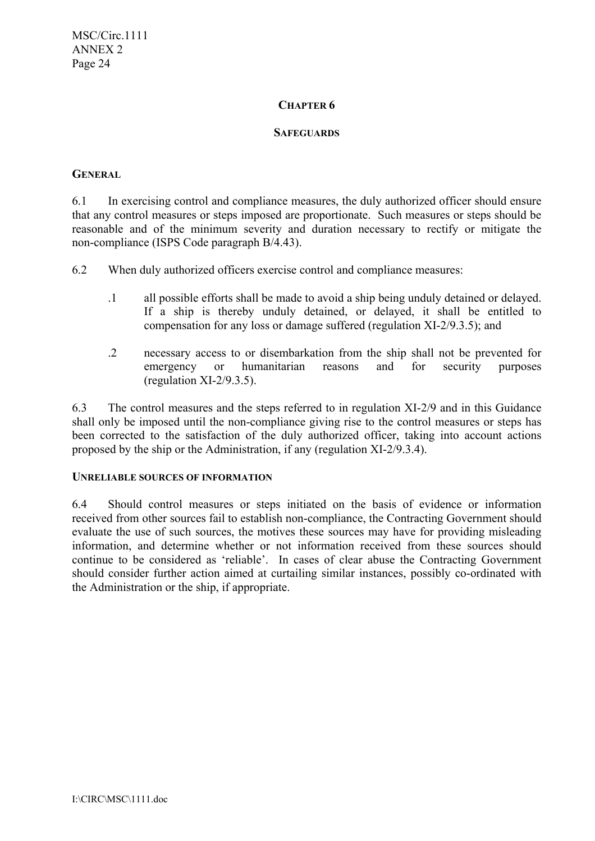# **CHAPTER 6**

## **SAFEGUARDS**

# **GENERAL**

6.1 In exercising control and compliance measures, the duly authorized officer should ensure that any control measures or steps imposed are proportionate. Such measures or steps should be reasonable and of the minimum severity and duration necessary to rectify or mitigate the non-compliance (ISPS Code paragraph B/4.43).

6.2 When duly authorized officers exercise control and compliance measures:

- .1 all possible efforts shall be made to avoid a ship being unduly detained or delayed. If a ship is thereby unduly detained, or delayed, it shall be entitled to compensation for any loss or damage suffered (regulation XI-2/9.3.5); and
- .2 necessary access to or disembarkation from the ship shall not be prevented for emergency or humanitarian reasons and for security purposes (regulation XI-2/9.3.5).

6.3 The control measures and the steps referred to in regulation XI-2/9 and in this Guidance shall only be imposed until the non-compliance giving rise to the control measures or steps has been corrected to the satisfaction of the duly authorized officer, taking into account actions proposed by the ship or the Administration, if any (regulation XI-2/9.3.4).

## **UNRELIABLE SOURCES OF INFORMATION**

6.4 Should control measures or steps initiated on the basis of evidence or information received from other sources fail to establish non-compliance, the Contracting Government should evaluate the use of such sources, the motives these sources may have for providing misleading information, and determine whether or not information received from these sources should continue to be considered as 'reliable'. In cases of clear abuse the Contracting Government should consider further action aimed at curtailing similar instances, possibly co-ordinated with the Administration or the ship, if appropriate.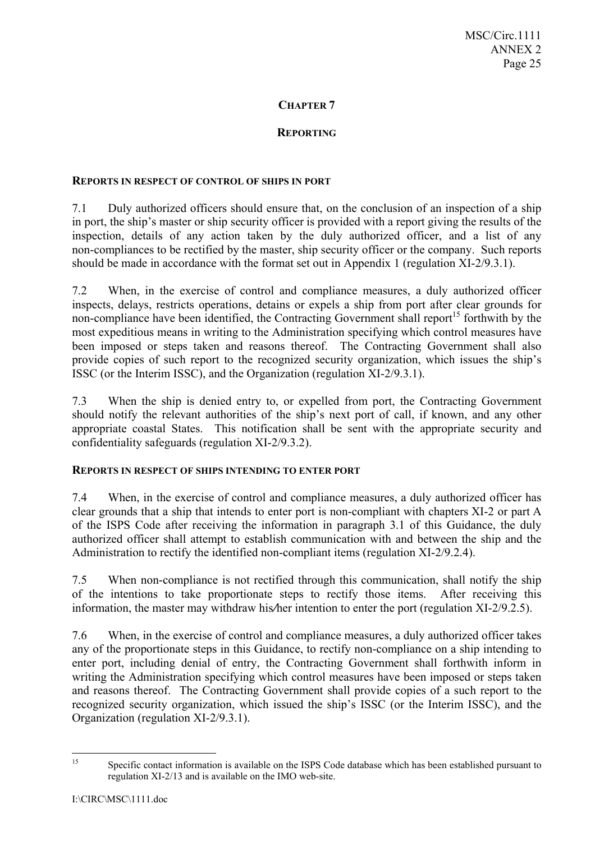# **CHAPTER 7**

## **REPORTING**

#### **REPORTS IN RESPECT OF CONTROL OF SHIPS IN PORT**

7.1 Duly authorized officers should ensure that, on the conclusion of an inspection of a ship in port, the ship's master or ship security officer is provided with a report giving the results of the inspection, details of any action taken by the duly authorized officer, and a list of any non-compliances to be rectified by the master, ship security officer or the company. Such reports should be made in accordance with the format set out in Appendix 1 (regulation XI-2/9.3.1).

7.2 When, in the exercise of control and compliance measures, a duly authorized officer inspects, delays, restricts operations, detains or expels a ship from port after clear grounds for non-compliance have been identified, the Contracting Government shall report<sup>15</sup> forthwith by the most expeditious means in writing to the Administration specifying which control measures have been imposed or steps taken and reasons thereof. The Contracting Government shall also provide copies of such report to the recognized security organization, which issues the ship's ISSC (or the Interim ISSC), and the Organization (regulation XI-2/9.3.1).

7.3 When the ship is denied entry to, or expelled from port, the Contracting Government should notify the relevant authorities of the ship's next port of call, if known, and any other appropriate coastal States. This notification shall be sent with the appropriate security and confidentiality safeguards (regulation XI-2/9.3.2).

## **REPORTS IN RESPECT OF SHIPS INTENDING TO ENTER PORT**

7.4 When, in the exercise of control and compliance measures, a duly authorized officer has clear grounds that a ship that intends to enter port is non-compliant with chapters XI-2 or part A of the ISPS Code after receiving the information in paragraph 3.1 of this Guidance, the duly authorized officer shall attempt to establish communication with and between the ship and the Administration to rectify the identified non-compliant items (regulation XI-2/9.2.4).

7.5 When non-compliance is not rectified through this communication, shall notify the ship of the intentions to take proportionate steps to rectify those items. After receiving this information, the master may withdraw his*/*her intention to enter the port (regulation XI-2/9.2.5).

7.6 When, in the exercise of control and compliance measures, a duly authorized officer takes any of the proportionate steps in this Guidance, to rectify non-compliance on a ship intending to enter port, including denial of entry, the Contracting Government shall forthwith inform in writing the Administration specifying which control measures have been imposed or steps taken and reasons thereof. The Contracting Government shall provide copies of a such report to the recognized security organization, which issued the ship's ISSC (or the Interim ISSC), and the Organization (regulation XI-2/9.3.1).

 $15$ 15 Specific contact information is available on the ISPS Code database which has been established pursuant to regulation XI-2/13 and is available on the IMO web-site.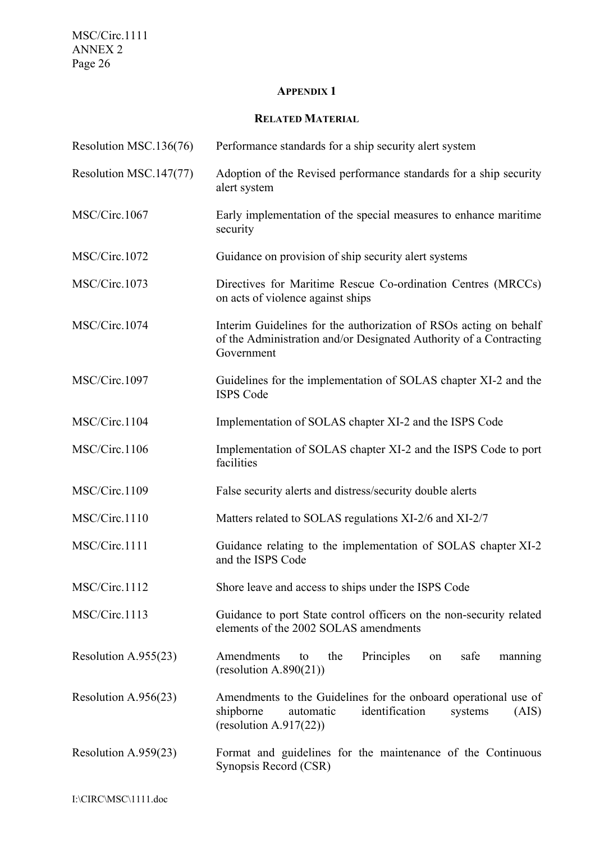MSC/Circ.1111 ANNEX 2 Page 26

## **APPENDIX 1**

## **RELATED MATERIAL**

| Resolution MSC.136(76) | Performance standards for a ship security alert system                                                                                                        |
|------------------------|---------------------------------------------------------------------------------------------------------------------------------------------------------------|
| Resolution MSC.147(77) | Adoption of the Revised performance standards for a ship security<br>alert system                                                                             |
| MSC/Circ.1067          | Early implementation of the special measures to enhance maritime<br>security                                                                                  |
| MSC/Circ.1072          | Guidance on provision of ship security alert systems                                                                                                          |
| MSC/Circ.1073          | Directives for Maritime Rescue Co-ordination Centres (MRCCs)<br>on acts of violence against ships                                                             |
| MSC/Circ.1074          | Interim Guidelines for the authorization of RSOs acting on behalf<br>of the Administration and/or Designated Authority of a Contracting<br>Government         |
| MSC/Circ.1097          | Guidelines for the implementation of SOLAS chapter XI-2 and the<br><b>ISPS Code</b>                                                                           |
| MSC/Circ.1104          | Implementation of SOLAS chapter XI-2 and the ISPS Code                                                                                                        |
| MSC/Circ.1106          | Implementation of SOLAS chapter XI-2 and the ISPS Code to port<br>facilities                                                                                  |
| MSC/Circ.1109          | False security alerts and distress/security double alerts                                                                                                     |
| MSC/Circ.1110          | Matters related to SOLAS regulations XI-2/6 and XI-2/7                                                                                                        |
| MSC/Circ.1111          | Guidance relating to the implementation of SOLAS chapter XI-2<br>and the ISPS Code                                                                            |
| MSC/Circ.1112          | Shore leave and access to ships under the ISPS Code                                                                                                           |
| MSC/Circ.1113          | Guidance to port State control officers on the non-security related<br>elements of the 2002 SOLAS amendments                                                  |
| Resolution A.955(23)   | Amendments<br>Principles<br>the<br>safe<br>manning<br>to<br>on<br>(resolution A.890(21))                                                                      |
| Resolution A.956(23)   | Amendments to the Guidelines for the onboard operational use of<br>identification<br>shipborne<br>automatic<br>systems<br>(AIS)<br>(resolution A.917 $(22)$ ) |
| Resolution A.959(23)   | Format and guidelines for the maintenance of the Continuous<br>Synopsis Record (CSR)                                                                          |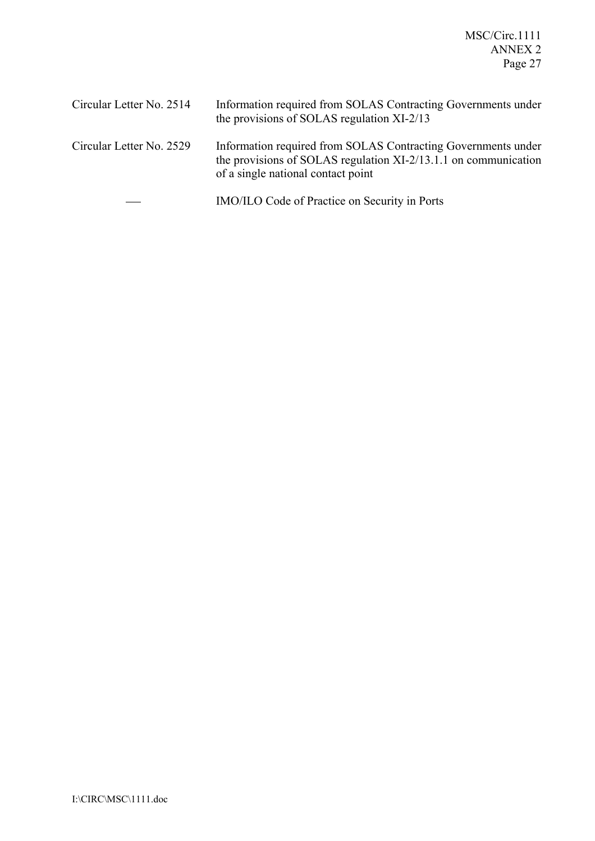MSC/Circ.1111 ANNEX 2 Page 27

| Circular Letter No. 2514 | Information required from SOLAS Contracting Governments under<br>the provisions of SOLAS regulation XI-2/13                                                            |
|--------------------------|------------------------------------------------------------------------------------------------------------------------------------------------------------------------|
| Circular Letter No. 2529 | Information required from SOLAS Contracting Governments under<br>the provisions of SOLAS regulation XI-2/13.1.1 on communication<br>of a single national contact point |
|                          | IMO/ILO Code of Practice on Security in Ports                                                                                                                          |